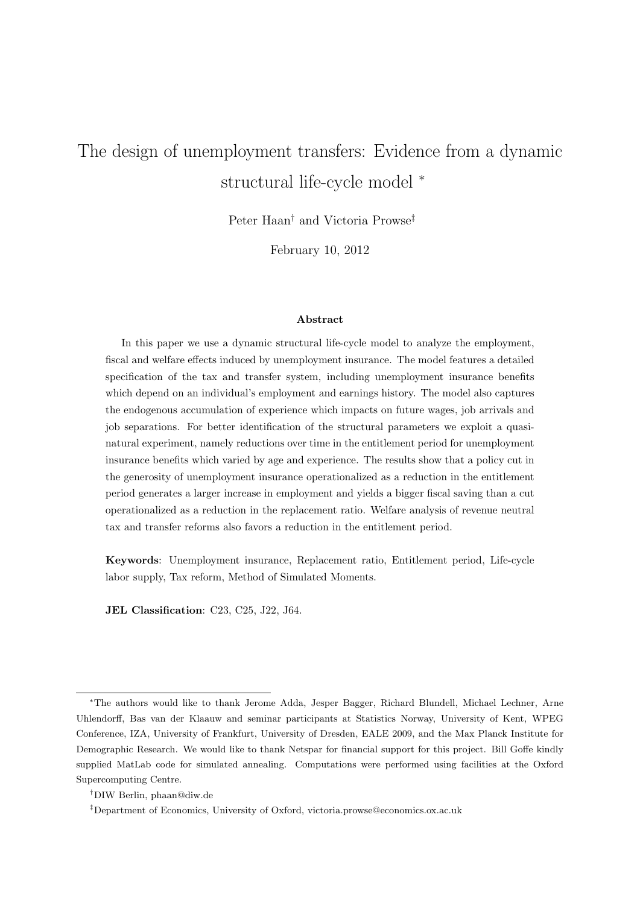# The design of unemployment transfers: Evidence from a dynamic structural life-cycle model *<sup>∗</sup>*

Peter Haan*†* and Victoria Prowse*‡*

February 10, 2012

#### **Abstract**

In this paper we use a dynamic structural life-cycle model to analyze the employment, fiscal and welfare effects induced by unemployment insurance. The model features a detailed specification of the tax and transfer system, including unemployment insurance benefits which depend on an individual's employment and earnings history. The model also captures the endogenous accumulation of experience which impacts on future wages, job arrivals and job separations. For better identification of the structural parameters we exploit a quasinatural experiment, namely reductions over time in the entitlement period for unemployment insurance benefits which varied by age and experience. The results show that a policy cut in the generosity of unemployment insurance operationalized as a reduction in the entitlement period generates a larger increase in employment and yields a bigger fiscal saving than a cut operationalized as a reduction in the replacement ratio. Welfare analysis of revenue neutral tax and transfer reforms also favors a reduction in the entitlement period.

**Keywords**: Unemployment insurance, Replacement ratio, Entitlement period, Life-cycle labor supply, Tax reform, Method of Simulated Moments.

**JEL Classification**: C23, C25, J22, J64.

*<sup>∗</sup>*The authors would like to thank Jerome Adda, Jesper Bagger, Richard Blundell, Michael Lechner, Arne Uhlendorff, Bas van der Klaauw and seminar participants at Statistics Norway, University of Kent, WPEG Conference, IZA, University of Frankfurt, University of Dresden, EALE 2009, and the Max Planck Institute for Demographic Research. We would like to thank Netspar for financial support for this project. Bill Goffe kindly supplied MatLab code for simulated annealing. Computations were performed using facilities at the Oxford Supercomputing Centre.

*<sup>†</sup>*DIW Berlin, phaan@diw.de

*<sup>‡</sup>*Department of Economics, University of Oxford, victoria.prowse@economics.ox.ac.uk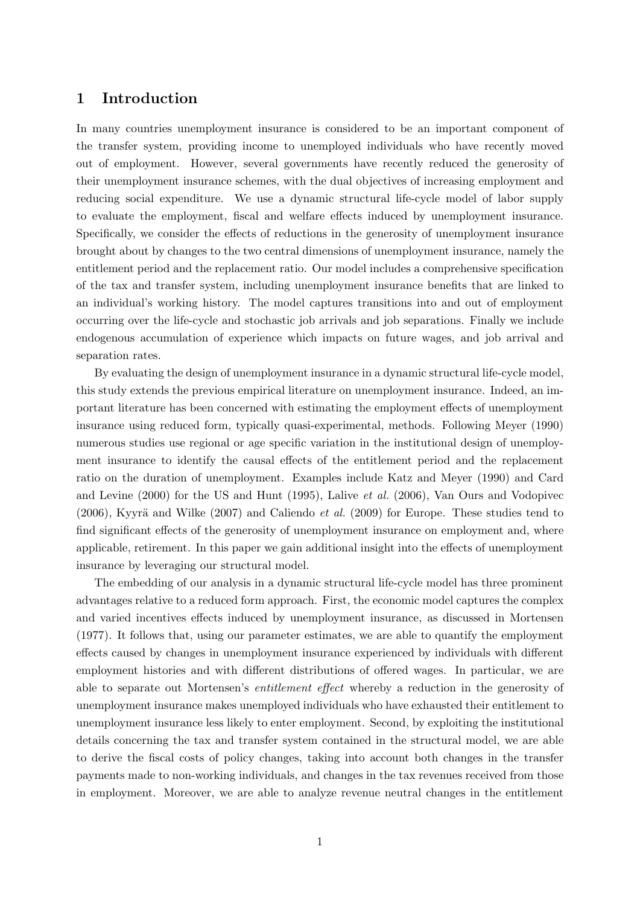# **1 Introduction**

In many countries unemployment insurance is considered to be an important component of the transfer system, providing income to unemployed individuals who have recently moved out of employment. However, several governments have recently reduced the generosity of their unemployment insurance schemes, with the dual objectives of increasing employment and reducing social expenditure. We use a dynamic structural life-cycle model of labor supply to evaluate the employment, fiscal and welfare effects induced by unemployment insurance. Specifically, we consider the effects of reductions in the generosity of unemployment insurance brought about by changes to the two central dimensions of unemployment insurance, namely the entitlement period and the replacement ratio. Our model includes a comprehensive specification of the tax and transfer system, including unemployment insurance benefits that are linked to an individual's working history. The model captures transitions into and out of employment occurring over the life-cycle and stochastic job arrivals and job separations. Finally we include endogenous accumulation of experience which impacts on future wages, and job arrival and separation rates.

By evaluating the design of unemployment insurance in a dynamic structural life-cycle model, this study extends the previous empirical literature on unemployment insurance. Indeed, an important literature has been concerned with estimating the employment effects of unemployment insurance using reduced form, typically quasi-experimental, methods. Following Meyer (1990) numerous studies use regional or age specific variation in the institutional design of unemployment insurance to identify the causal effects of the entitlement period and the replacement ratio on the duration of unemployment. Examples include Katz and Meyer (1990) and Card and Levine (2000) for the US and Hunt (1995), Lalive *et al.* (2006), Van Ours and Vodopivec  $(2006)$ , Kyyrä and Wilke  $(2007)$  and Caliendo *et al.*  $(2009)$  for Europe. These studies tend to find significant effects of the generosity of unemployment insurance on employment and, where applicable, retirement. In this paper we gain additional insight into the effects of unemployment insurance by leveraging our structural model.

The embedding of our analysis in a dynamic structural life-cycle model has three prominent advantages relative to a reduced form approach. First, the economic model captures the complex and varied incentives effects induced by unemployment insurance, as discussed in Mortensen (1977). It follows that, using our parameter estimates, we are able to quantify the employment effects caused by changes in unemployment insurance experienced by individuals with different employment histories and with different distributions of offered wages. In particular, we are able to separate out Mortensen's *entitlement effect* whereby a reduction in the generosity of unemployment insurance makes unemployed individuals who have exhausted their entitlement to unemployment insurance less likely to enter employment. Second, by exploiting the institutional details concerning the tax and transfer system contained in the structural model, we are able to derive the fiscal costs of policy changes, taking into account both changes in the transfer payments made to non-working individuals, and changes in the tax revenues received from those in employment. Moreover, we are able to analyze revenue neutral changes in the entitlement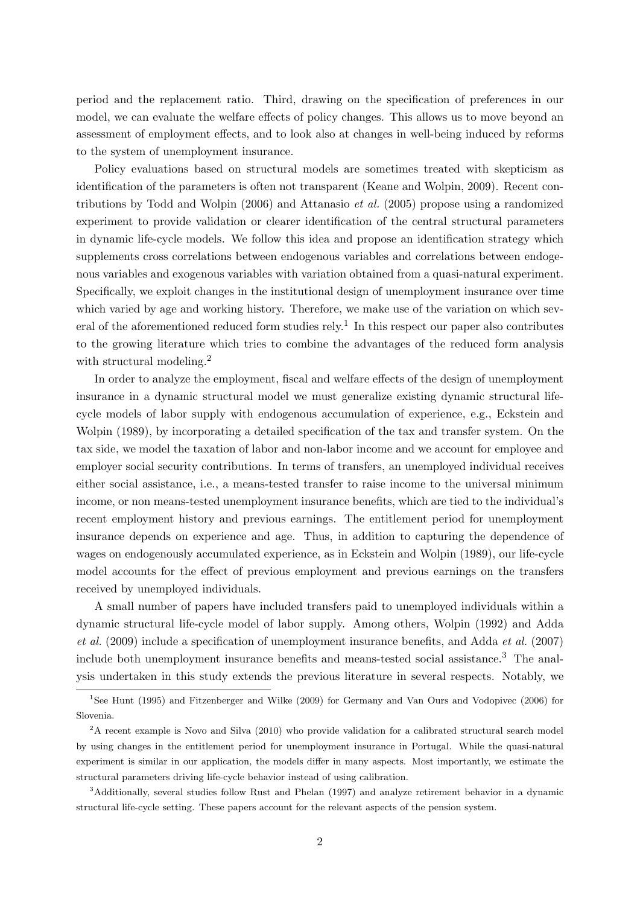period and the replacement ratio. Third, drawing on the specification of preferences in our model, we can evaluate the welfare effects of policy changes. This allows us to move beyond an assessment of employment effects, and to look also at changes in well-being induced by reforms to the system of unemployment insurance.

Policy evaluations based on structural models are sometimes treated with skepticism as identification of the parameters is often not transparent (Keane and Wolpin, 2009). Recent contributions by Todd and Wolpin (2006) and Attanasio *et al.* (2005) propose using a randomized experiment to provide validation or clearer identification of the central structural parameters in dynamic life-cycle models. We follow this idea and propose an identification strategy which supplements cross correlations between endogenous variables and correlations between endogenous variables and exogenous variables with variation obtained from a quasi-natural experiment. Specifically, we exploit changes in the institutional design of unemployment insurance over time which varied by age and working history. Therefore, we make use of the variation on which several of the aforementioned reduced form studies rely.<sup>1</sup> In this respect our paper also contributes to the growing literature which tries to combine the advantages of the reduced form analysis with structural modeling.<sup>2</sup>

In order to analyze the employment, fiscal and welfare effects of the design of unemployment insurance in a dynamic structural model we must generalize existing dynamic structural lifecycle models of labor supply with endogenous accumulation of experience, e.g., Eckstein and Wolpin (1989), by incorporating a detailed specification of the tax and transfer system. On the tax side, we model the taxation of labor and non-labor income and we account for employee and employer social security contributions. In terms of transfers, an unemployed individual receives either social assistance, i.e., a means-tested transfer to raise income to the universal minimum income, or non means-tested unemployment insurance benefits, which are tied to the individual's recent employment history and previous earnings. The entitlement period for unemployment insurance depends on experience and age. Thus, in addition to capturing the dependence of wages on endogenously accumulated experience, as in Eckstein and Wolpin (1989), our life-cycle model accounts for the effect of previous employment and previous earnings on the transfers received by unemployed individuals.

A small number of papers have included transfers paid to unemployed individuals within a dynamic structural life-cycle model of labor supply. Among others, Wolpin (1992) and Adda *et al.* (2009) include a specification of unemployment insurance benefits, and Adda *et al.* (2007) include both unemployment insurance benefits and means-tested social assistance.<sup>3</sup> The analysis undertaken in this study extends the previous literature in several respects. Notably, we

<sup>&</sup>lt;sup>1</sup>See Hunt (1995) and Fitzenberger and Wilke (2009) for Germany and Van Ours and Vodopivec (2006) for Slovenia.

<sup>&</sup>lt;sup>2</sup>A recent example is Novo and Silva (2010) who provide validation for a calibrated structural search model by using changes in the entitlement period for unemployment insurance in Portugal. While the quasi-natural experiment is similar in our application, the models differ in many aspects. Most importantly, we estimate the structural parameters driving life-cycle behavior instead of using calibration.

<sup>3</sup>Additionally, several studies follow Rust and Phelan (1997) and analyze retirement behavior in a dynamic structural life-cycle setting. These papers account for the relevant aspects of the pension system.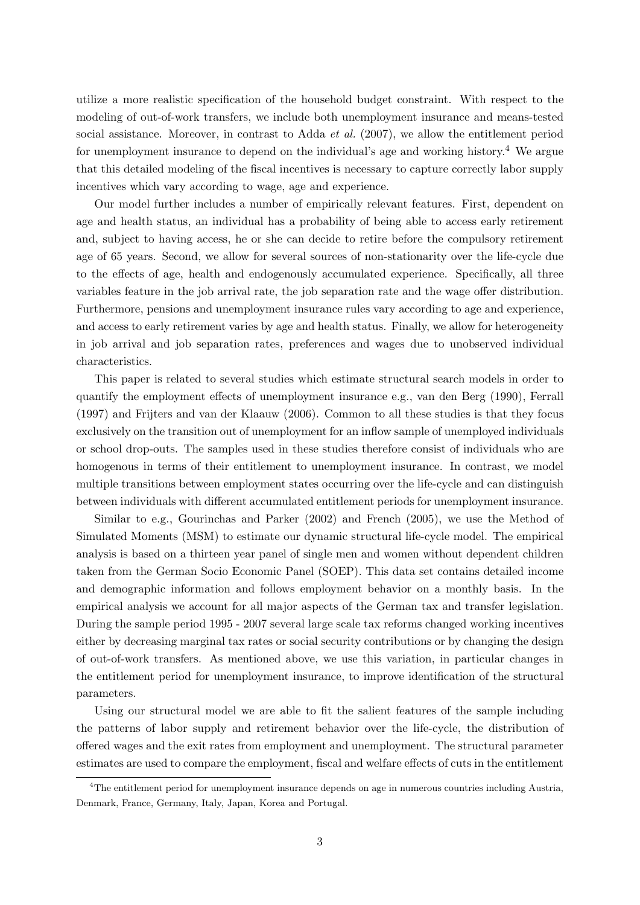utilize a more realistic specification of the household budget constraint. With respect to the modeling of out-of-work transfers, we include both unemployment insurance and means-tested social assistance. Moreover, in contrast to Adda *et al.* (2007), we allow the entitlement period for unemployment insurance to depend on the individual's age and working history.<sup>4</sup> We argue that this detailed modeling of the fiscal incentives is necessary to capture correctly labor supply incentives which vary according to wage, age and experience.

Our model further includes a number of empirically relevant features. First, dependent on age and health status, an individual has a probability of being able to access early retirement and, subject to having access, he or she can decide to retire before the compulsory retirement age of 65 years. Second, we allow for several sources of non-stationarity over the life-cycle due to the effects of age, health and endogenously accumulated experience. Specifically, all three variables feature in the job arrival rate, the job separation rate and the wage offer distribution. Furthermore, pensions and unemployment insurance rules vary according to age and experience, and access to early retirement varies by age and health status. Finally, we allow for heterogeneity in job arrival and job separation rates, preferences and wages due to unobserved individual characteristics.

This paper is related to several studies which estimate structural search models in order to quantify the employment effects of unemployment insurance e.g., van den Berg (1990), Ferrall (1997) and Frijters and van der Klaauw (2006). Common to all these studies is that they focus exclusively on the transition out of unemployment for an inflow sample of unemployed individuals or school drop-outs. The samples used in these studies therefore consist of individuals who are homogenous in terms of their entitlement to unemployment insurance. In contrast, we model multiple transitions between employment states occurring over the life-cycle and can distinguish between individuals with different accumulated entitlement periods for unemployment insurance.

Similar to e.g., Gourinchas and Parker (2002) and French (2005), we use the Method of Simulated Moments (MSM) to estimate our dynamic structural life-cycle model. The empirical analysis is based on a thirteen year panel of single men and women without dependent children taken from the German Socio Economic Panel (SOEP). This data set contains detailed income and demographic information and follows employment behavior on a monthly basis. In the empirical analysis we account for all major aspects of the German tax and transfer legislation. During the sample period 1995 - 2007 several large scale tax reforms changed working incentives either by decreasing marginal tax rates or social security contributions or by changing the design of out-of-work transfers. As mentioned above, we use this variation, in particular changes in the entitlement period for unemployment insurance, to improve identification of the structural parameters.

Using our structural model we are able to fit the salient features of the sample including the patterns of labor supply and retirement behavior over the life-cycle, the distribution of offered wages and the exit rates from employment and unemployment. The structural parameter estimates are used to compare the employment, fiscal and welfare effects of cuts in the entitlement

<sup>&</sup>lt;sup>4</sup>The entitlement period for unemployment insurance depends on age in numerous countries including Austria, Denmark, France, Germany, Italy, Japan, Korea and Portugal.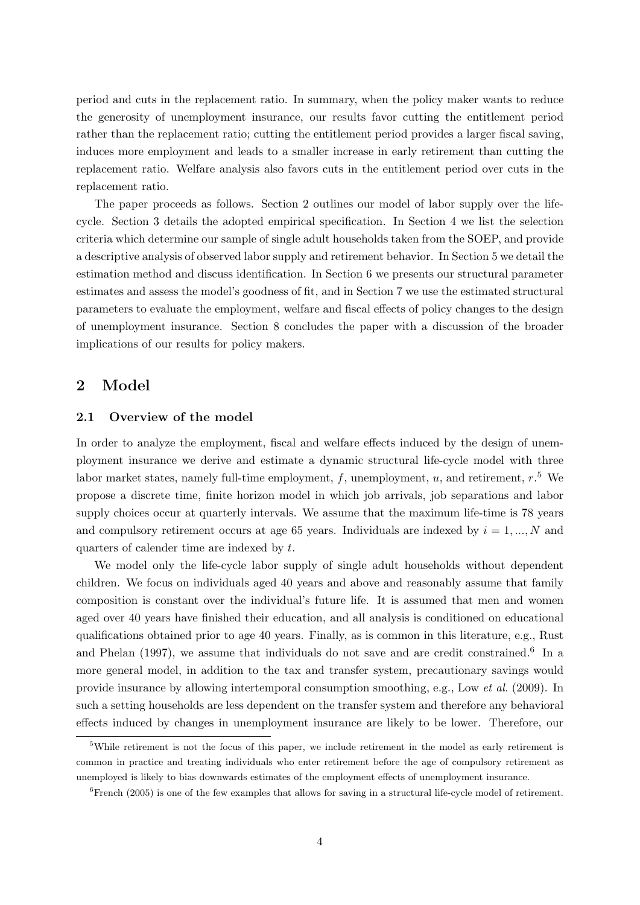period and cuts in the replacement ratio. In summary, when the policy maker wants to reduce the generosity of unemployment insurance, our results favor cutting the entitlement period rather than the replacement ratio; cutting the entitlement period provides a larger fiscal saving, induces more employment and leads to a smaller increase in early retirement than cutting the replacement ratio. Welfare analysis also favors cuts in the entitlement period over cuts in the replacement ratio.

The paper proceeds as follows. Section 2 outlines our model of labor supply over the lifecycle. Section 3 details the adopted empirical specification. In Section 4 we list the selection criteria which determine our sample of single adult households taken from the SOEP, and provide a descriptive analysis of observed labor supply and retirement behavior. In Section 5 we detail the estimation method and discuss identification. In Section 6 we presents our structural parameter estimates and assess the model's goodness of fit, and in Section 7 we use the estimated structural parameters to evaluate the employment, welfare and fiscal effects of policy changes to the design of unemployment insurance. Section 8 concludes the paper with a discussion of the broader implications of our results for policy makers.

# **2 Model**

# **2.1 Overview of the model**

In order to analyze the employment, fiscal and welfare effects induced by the design of unemployment insurance we derive and estimate a dynamic structural life-cycle model with three labor market states, namely full-time employment, *f*, unemployment, *u*, and retirement, *r*. <sup>5</sup> We propose a discrete time, finite horizon model in which job arrivals, job separations and labor supply choices occur at quarterly intervals. We assume that the maximum life-time is 78 years and compulsory retirement occurs at age 65 years. Individuals are indexed by  $i = 1, ..., N$  and quarters of calender time are indexed by *t*.

We model only the life-cycle labor supply of single adult households without dependent children. We focus on individuals aged 40 years and above and reasonably assume that family composition is constant over the individual's future life. It is assumed that men and women aged over 40 years have finished their education, and all analysis is conditioned on educational qualifications obtained prior to age 40 years. Finally, as is common in this literature, e.g., Rust and Phelan  $(1997)$ , we assume that individuals do not save and are credit constrained.<sup>6</sup> In a more general model, in addition to the tax and transfer system, precautionary savings would provide insurance by allowing intertemporal consumption smoothing, e.g., Low *et al.* (2009). In such a setting households are less dependent on the transfer system and therefore any behavioral effects induced by changes in unemployment insurance are likely to be lower. Therefore, our

<sup>5</sup>While retirement is not the focus of this paper, we include retirement in the model as early retirement is common in practice and treating individuals who enter retirement before the age of compulsory retirement as unemployed is likely to bias downwards estimates of the employment effects of unemployment insurance.

 $6$ French (2005) is one of the few examples that allows for saving in a structural life-cycle model of retirement.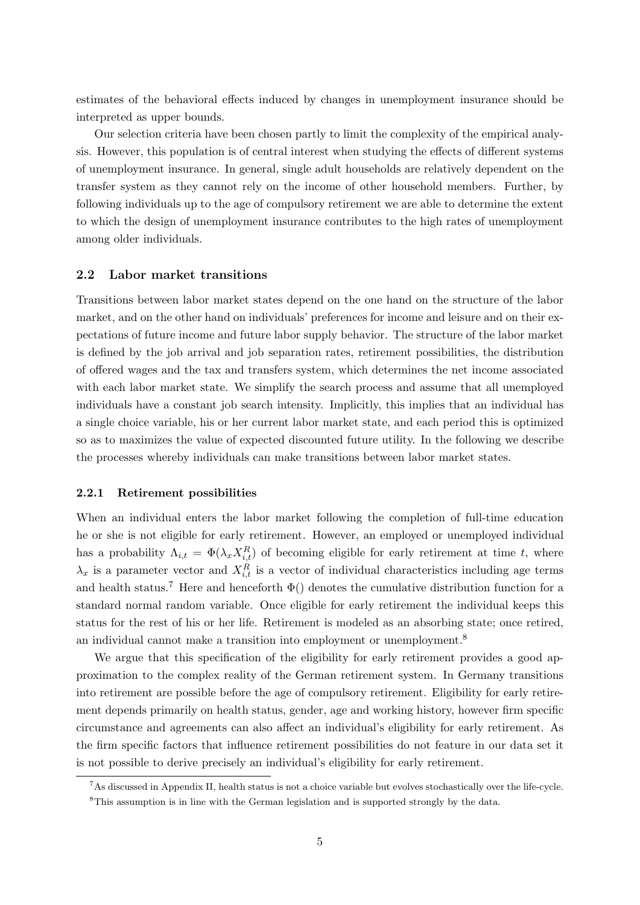estimates of the behavioral effects induced by changes in unemployment insurance should be interpreted as upper bounds.

Our selection criteria have been chosen partly to limit the complexity of the empirical analysis. However, this population is of central interest when studying the effects of different systems of unemployment insurance. In general, single adult households are relatively dependent on the transfer system as they cannot rely on the income of other household members. Further, by following individuals up to the age of compulsory retirement we are able to determine the extent to which the design of unemployment insurance contributes to the high rates of unemployment among older individuals.

## **2.2 Labor market transitions**

Transitions between labor market states depend on the one hand on the structure of the labor market, and on the other hand on individuals' preferences for income and leisure and on their expectations of future income and future labor supply behavior. The structure of the labor market is defined by the job arrival and job separation rates, retirement possibilities, the distribution of offered wages and the tax and transfers system, which determines the net income associated with each labor market state. We simplify the search process and assume that all unemployed individuals have a constant job search intensity. Implicitly, this implies that an individual has a single choice variable, his or her current labor market state, and each period this is optimized so as to maximizes the value of expected discounted future utility. In the following we describe the processes whereby individuals can make transitions between labor market states.

## **2.2.1 Retirement possibilities**

When an individual enters the labor market following the completion of full-time education he or she is not eligible for early retirement. However, an employed or unemployed individual has a probability  $\Lambda_{i,t} = \Phi(\lambda_x X_{i,t}^R)$  of becoming eligible for early retirement at time *t*, where  $\lambda_x$  is a parameter vector and  $X_{i,t}^R$  is a vector of individual characteristics including age terms and health status.<sup>7</sup> Here and henceforth  $\Phi()$  denotes the cumulative distribution function for a standard normal random variable. Once eligible for early retirement the individual keeps this status for the rest of his or her life. Retirement is modeled as an absorbing state; once retired, an individual cannot make a transition into employment or unemployment.<sup>8</sup>

We argue that this specification of the eligibility for early retirement provides a good approximation to the complex reality of the German retirement system. In Germany transitions into retirement are possible before the age of compulsory retirement. Eligibility for early retirement depends primarily on health status, gender, age and working history, however firm specific circumstance and agreements can also affect an individual's eligibility for early retirement. As the firm specific factors that influence retirement possibilities do not feature in our data set it is not possible to derive precisely an individual's eligibility for early retirement.

<sup>7</sup>As discussed in Appendix II, health status is not a choice variable but evolves stochastically over the life-cycle. <sup>8</sup>This assumption is in line with the German legislation and is supported strongly by the data.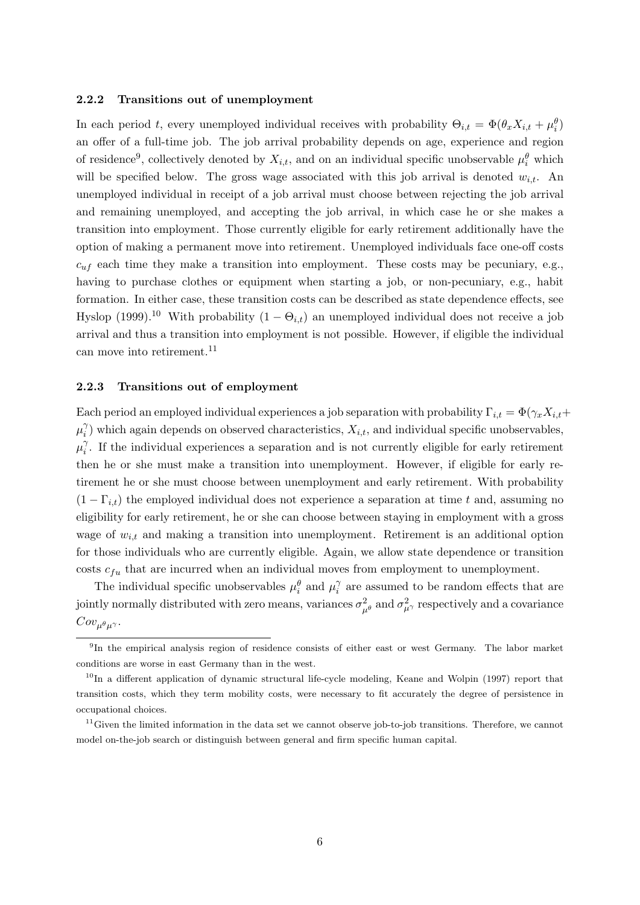## **2.2.2 Transitions out of unemployment**

In each period *t*, every unemployed individual receives with probability  $\Theta_{i,t} = \Phi(\theta_x X_{i,t} + \mu_i^{\theta})$ an offer of a full-time job. The job arrival probability depends on age, experience and region of residence<sup>9</sup>, collectively denoted by  $X_{i,t}$ , and on an individual specific unobservable  $\mu_i^{\theta}$  which will be specified below. The gross wage associated with this job arrival is denoted  $w_{i,t}$ . An unemployed individual in receipt of a job arrival must choose between rejecting the job arrival and remaining unemployed, and accepting the job arrival, in which case he or she makes a transition into employment. Those currently eligible for early retirement additionally have the option of making a permanent move into retirement. Unemployed individuals face one-off costs  $c_{uf}$  each time they make a transition into employment. These costs may be pecuniary, e.g., having to purchase clothes or equipment when starting a job, or non-pecuniary, e.g., habit formation. In either case, these transition costs can be described as state dependence effects, see Hyslop (1999).<sup>10</sup> With probability  $(1 - \Theta_{i,t})$  an unemployed individual does not receive a job arrival and thus a transition into employment is not possible. However, if eligible the individual can move into retirement.<sup>11</sup>

## **2.2.3 Transitions out of employment**

Each period an employed individual experiences a job separation with probability  $\Gamma_{i,t} = \Phi(\gamma_x X_{i,t} + \gamma_y)$  $\mu_i^{\gamma}$  $\hat{i}$ ) which again depends on observed characteristics,  $X_{i,t}$ , and individual specific unobservables,  $\mu_i^{\gamma}$  $\tilde{i}$ . If the individual experiences a separation and is not currently eligible for early retirement then he or she must make a transition into unemployment. However, if eligible for early retirement he or she must choose between unemployment and early retirement. With probability  $(1 - \Gamma_{i,t})$  the employed individual does not experience a separation at time *t* and, assuming no eligibility for early retirement, he or she can choose between staying in employment with a gross wage of *wi,t* and making a transition into unemployment. Retirement is an additional option for those individuals who are currently eligible. Again, we allow state dependence or transition costs  $c_{fu}$  that are incurred when an individual moves from employment to unemployment.

The individual specific unobservables  $\mu_i^{\theta}$  and  $\mu_i^{\gamma}$  $\hat{i}$  are assumed to be random effects that are  $j$ *jointly normally distributed with zero means, variances*  $\sigma_{\mu}^2$  *and*  $\sigma_{\mu}^2$  *respectively and a covariance*  $Cov_{\mu^{\theta}\mu^{\gamma}}$ .

<sup>9</sup> In the empirical analysis region of residence consists of either east or west Germany. The labor market conditions are worse in east Germany than in the west.

 $10$ In a different application of dynamic structural life-cycle modeling, Keane and Wolpin (1997) report that transition costs, which they term mobility costs, were necessary to fit accurately the degree of persistence in occupational choices.

 $11$  Given the limited information in the data set we cannot observe job-to-job transitions. Therefore, we cannot model on-the-job search or distinguish between general and firm specific human capital.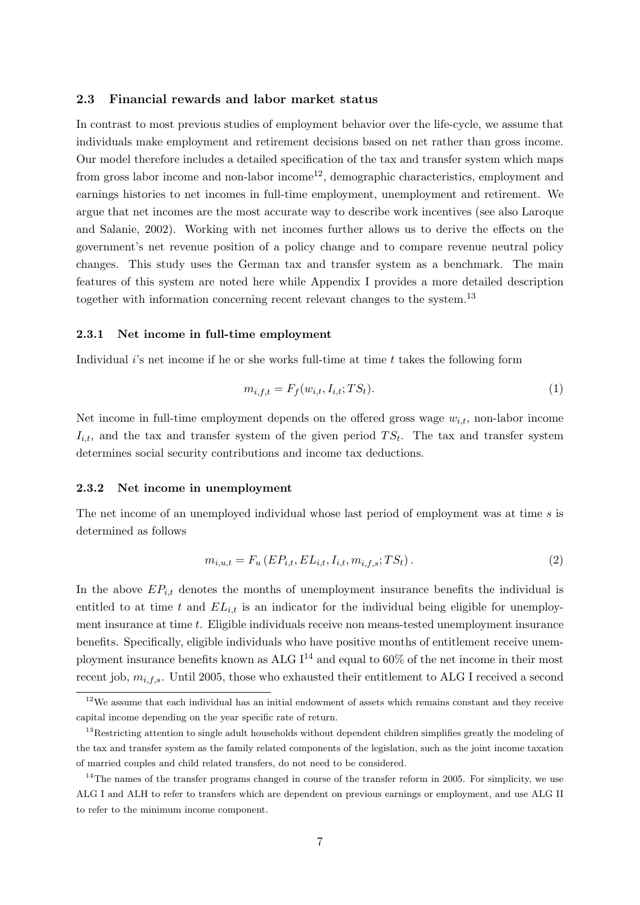#### **2.3 Financial rewards and labor market status**

In contrast to most previous studies of employment behavior over the life-cycle, we assume that individuals make employment and retirement decisions based on net rather than gross income. Our model therefore includes a detailed specification of the tax and transfer system which maps from gross labor income and non-labor income<sup>12</sup>, demographic characteristics, employment and earnings histories to net incomes in full-time employment, unemployment and retirement. We argue that net incomes are the most accurate way to describe work incentives (see also Laroque and Salanie, 2002). Working with net incomes further allows us to derive the effects on the government's net revenue position of a policy change and to compare revenue neutral policy changes. This study uses the German tax and transfer system as a benchmark. The main features of this system are noted here while Appendix I provides a more detailed description together with information concerning recent relevant changes to the system.<sup>13</sup>

### **2.3.1 Net income in full-time employment**

Individual *i*'s net income if he or she works full-time at time *t* takes the following form

$$
m_{i,f,t} = F_f(w_{i,t}, I_{i,t}; TS_t). \tag{1}
$$

Net income in full-time employment depends on the offered gross wage  $w_{i,t}$ , non-labor income  $I_{i,t}$ , and the tax and transfer system of the given period  $TS_t$ . The tax and transfer system determines social security contributions and income tax deductions.

## **2.3.2 Net income in unemployment**

The net income of an unemployed individual whose last period of employment was at time *s* is determined as follows

$$
m_{i,u,t} = F_u \left( EP_{i,t}, EL_{i,t}, I_{i,t}, m_{i,f,s}; TS_t \right). \tag{2}
$$

In the above  $EP_{i,t}$  denotes the months of unemployment insurance benefits the individual is entitled to at time  $t$  and  $EL_{i,t}$  is an indicator for the individual being eligible for unemployment insurance at time *t*. Eligible individuals receive non means-tested unemployment insurance benefits. Specifically, eligible individuals who have positive months of entitlement receive unemployment insurance benefits known as ALG  $I<sup>14</sup>$  and equal to 60% of the net income in their most recent job, *mi,f,s*. Until 2005, those who exhausted their entitlement to ALG I received a second

 $12$ We assume that each individual has an initial endowment of assets which remains constant and they receive capital income depending on the year specific rate of return.

<sup>&</sup>lt;sup>13</sup>Restricting attention to single adult households without dependent children simplifies greatly the modeling of the tax and transfer system as the family related components of the legislation, such as the joint income taxation of married couples and child related transfers, do not need to be considered.

<sup>&</sup>lt;sup>14</sup>The names of the transfer programs changed in course of the transfer reform in 2005. For simplicity, we use ALG I and ALH to refer to transfers which are dependent on previous earnings or employment, and use ALG II to refer to the minimum income component.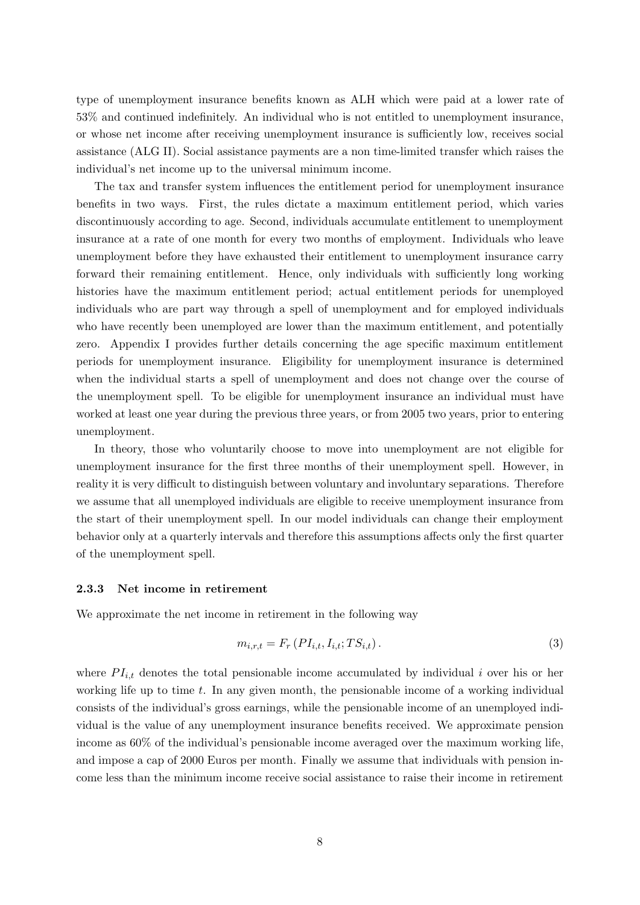type of unemployment insurance benefits known as ALH which were paid at a lower rate of 53% and continued indefinitely. An individual who is not entitled to unemployment insurance, or whose net income after receiving unemployment insurance is sufficiently low, receives social assistance (ALG II). Social assistance payments are a non time-limited transfer which raises the individual's net income up to the universal minimum income.

The tax and transfer system influences the entitlement period for unemployment insurance benefits in two ways. First, the rules dictate a maximum entitlement period, which varies discontinuously according to age. Second, individuals accumulate entitlement to unemployment insurance at a rate of one month for every two months of employment. Individuals who leave unemployment before they have exhausted their entitlement to unemployment insurance carry forward their remaining entitlement. Hence, only individuals with sufficiently long working histories have the maximum entitlement period; actual entitlement periods for unemployed individuals who are part way through a spell of unemployment and for employed individuals who have recently been unemployed are lower than the maximum entitlement, and potentially zero. Appendix I provides further details concerning the age specific maximum entitlement periods for unemployment insurance. Eligibility for unemployment insurance is determined when the individual starts a spell of unemployment and does not change over the course of the unemployment spell. To be eligible for unemployment insurance an individual must have worked at least one year during the previous three years, or from 2005 two years, prior to entering unemployment.

In theory, those who voluntarily choose to move into unemployment are not eligible for unemployment insurance for the first three months of their unemployment spell. However, in reality it is very difficult to distinguish between voluntary and involuntary separations. Therefore we assume that all unemployed individuals are eligible to receive unemployment insurance from the start of their unemployment spell. In our model individuals can change their employment behavior only at a quarterly intervals and therefore this assumptions affects only the first quarter of the unemployment spell.

## **2.3.3 Net income in retirement**

We approximate the net income in retirement in the following way

$$
m_{i,r,t} = F_r \left( P I_{i,t}, I_{i,t}; TS_{i,t} \right). \tag{3}
$$

where  $PI_{i,t}$  denotes the total pensionable income accumulated by individual *i* over his or her working life up to time *t*. In any given month, the pensionable income of a working individual consists of the individual's gross earnings, while the pensionable income of an unemployed individual is the value of any unemployment insurance benefits received. We approximate pension income as 60% of the individual's pensionable income averaged over the maximum working life, and impose a cap of 2000 Euros per month. Finally we assume that individuals with pension income less than the minimum income receive social assistance to raise their income in retirement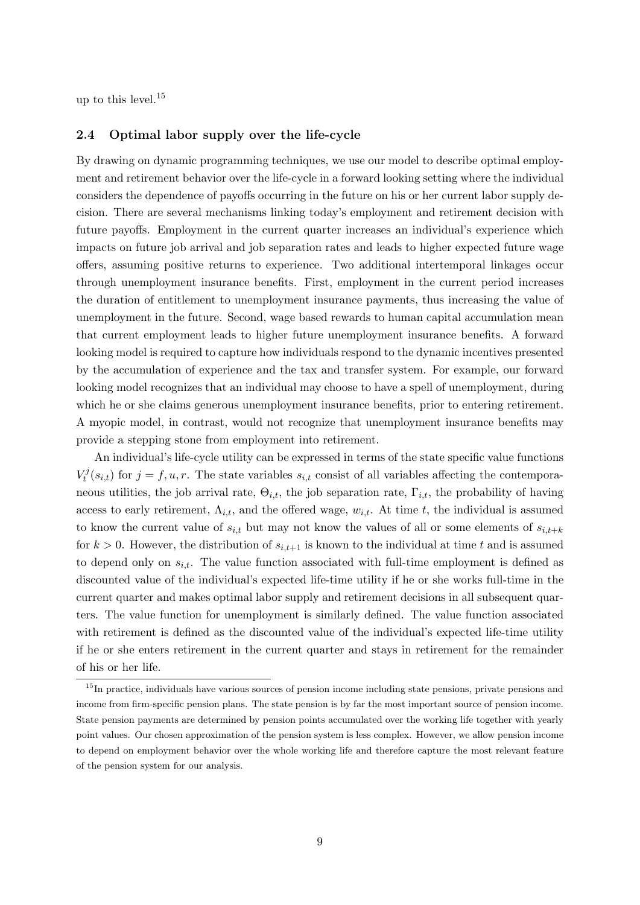up to this level.<sup>15</sup>

## **2.4 Optimal labor supply over the life-cycle**

By drawing on dynamic programming techniques, we use our model to describe optimal employment and retirement behavior over the life-cycle in a forward looking setting where the individual considers the dependence of payoffs occurring in the future on his or her current labor supply decision. There are several mechanisms linking today's employment and retirement decision with future payoffs. Employment in the current quarter increases an individual's experience which impacts on future job arrival and job separation rates and leads to higher expected future wage offers, assuming positive returns to experience. Two additional intertemporal linkages occur through unemployment insurance benefits. First, employment in the current period increases the duration of entitlement to unemployment insurance payments, thus increasing the value of unemployment in the future. Second, wage based rewards to human capital accumulation mean that current employment leads to higher future unemployment insurance benefits. A forward looking model is required to capture how individuals respond to the dynamic incentives presented by the accumulation of experience and the tax and transfer system. For example, our forward looking model recognizes that an individual may choose to have a spell of unemployment, during which he or she claims generous unemployment insurance benefits, prior to entering retirement. A myopic model, in contrast, would not recognize that unemployment insurance benefits may provide a stepping stone from employment into retirement.

An individual's life-cycle utility can be expressed in terms of the state specific value functions  $V_t^j$  $t^{j}(s_{i,t})$  for  $j = f, u, r$ . The state variables  $s_{i,t}$  consist of all variables affecting the contemporaneous utilities, the job arrival rate,  $\Theta_{i,t}$ , the job separation rate,  $\Gamma_{i,t}$ , the probability of having access to early retirement,  $\Lambda_{i,t}$ , and the offered wage,  $w_{i,t}$ . At time t, the individual is assumed to know the current value of  $s_{i,t}$  but may not know the values of all or some elements of  $s_{i,t+k}$ for  $k > 0$ . However, the distribution of  $s_{i,t+1}$  is known to the individual at time t and is assumed to depend only on *si,t*. The value function associated with full-time employment is defined as discounted value of the individual's expected life-time utility if he or she works full-time in the current quarter and makes optimal labor supply and retirement decisions in all subsequent quarters. The value function for unemployment is similarly defined. The value function associated with retirement is defined as the discounted value of the individual's expected life-time utility if he or she enters retirement in the current quarter and stays in retirement for the remainder of his or her life.

<sup>&</sup>lt;sup>15</sup>In practice, individuals have various sources of pension income including state pensions, private pensions and income from firm-specific pension plans. The state pension is by far the most important source of pension income. State pension payments are determined by pension points accumulated over the working life together with yearly point values. Our chosen approximation of the pension system is less complex. However, we allow pension income to depend on employment behavior over the whole working life and therefore capture the most relevant feature of the pension system for our analysis.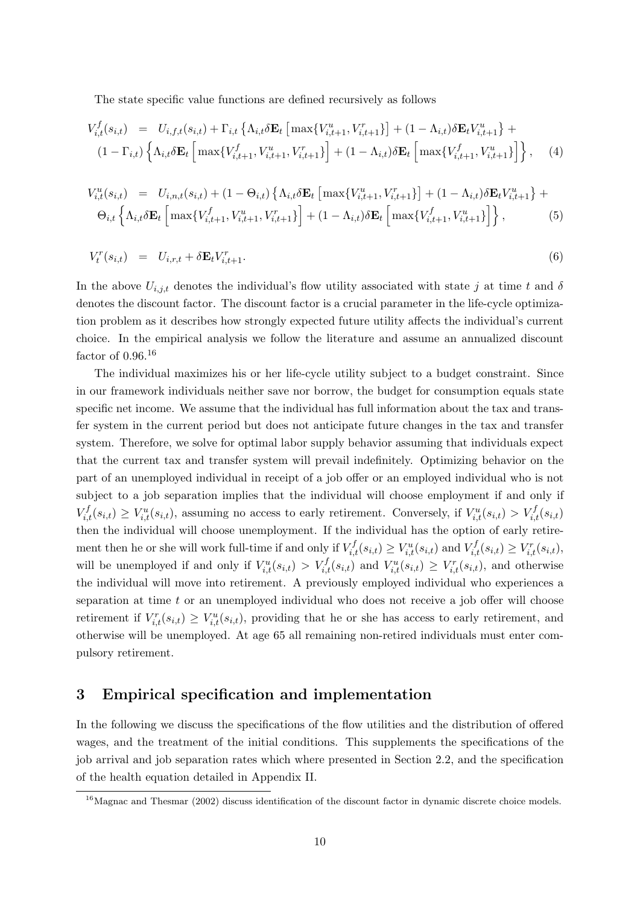The state specific value functions are defined recursively as follows

$$
V_{i,t}^{f}(s_{i,t}) = U_{i,f,t}(s_{i,t}) + \Gamma_{i,t} \left\{ \Lambda_{i,t} \delta \mathbf{E}_{t} \left[ \max \{ V_{i,t+1}^{u}, V_{i,t+1}^{r} \} \right] + (1 - \Lambda_{i,t}) \delta \mathbf{E}_{t} V_{i,t+1}^{u} \right\} + (1 - \Gamma_{i,t}) \left\{ \Lambda_{i,t} \delta \mathbf{E}_{t} \left[ \max \{ V_{i,t+1}^{f}, V_{i,t+1}^{u}, V_{i,t+1}^{r} \} \right] + (1 - \Lambda_{i,t}) \delta \mathbf{E}_{t} \left[ \max \{ V_{i,t+1}^{f}, V_{i,t+1}^{u} \} \right] \right\}, \quad (4)
$$

$$
V_{i,t}^{u}(s_{i,t}) = U_{i,n,t}(s_{i,t}) + (1 - \Theta_{i,t}) \left\{ \Lambda_{i,t} \delta \mathbf{E}_{t} \left[ \max \{ V_{i,t+1}^{u}, V_{i,t+1}^{r} \} \right] + (1 - \Lambda_{i,t}) \delta \mathbf{E}_{t} V_{i,t+1}^{u} \right\} + \Theta_{i,t} \left\{ \Lambda_{i,t} \delta \mathbf{E}_{t} \left[ \max \{ V_{i,t+1}^{f}, V_{i,t+1}^{u}, V_{i,t+1}^{r} \} \right] + (1 - \Lambda_{i,t}) \delta \mathbf{E}_{t} \left[ \max \{ V_{i,t+1}^{f}, V_{i,t+1}^{u} \} \right] \right\},
$$
\n(5)

$$
V_t^r(s_{i,t}) = U_{i,r,t} + \delta \mathbf{E}_t V_{i,t+1}^r.
$$
\n
$$
(6)
$$

In the above  $U_{i,j,t}$  denotes the individual's flow utility associated with state *j* at time *t* and  $\delta$ denotes the discount factor. The discount factor is a crucial parameter in the life-cycle optimization problem as it describes how strongly expected future utility affects the individual's current choice. In the empirical analysis we follow the literature and assume an annualized discount factor of  $0.96^{16}$ 

The individual maximizes his or her life-cycle utility subject to a budget constraint. Since in our framework individuals neither save nor borrow, the budget for consumption equals state specific net income. We assume that the individual has full information about the tax and transfer system in the current period but does not anticipate future changes in the tax and transfer system. Therefore, we solve for optimal labor supply behavior assuming that individuals expect that the current tax and transfer system will prevail indefinitely. Optimizing behavior on the part of an unemployed individual in receipt of a job offer or an employed individual who is not subject to a job separation implies that the individual will choose employment if and only if  $V_{i,t}^f(s_{i,t}) \geq V_{i,t}^u(s_{i,t})$ , assuming no access to early retirement. Conversely, if  $V_{i,t}^u(s_{i,t}) > V_{i,t}^f(s_{i,t})$ then the individual will choose unemployment. If the individual has the option of early retirement then he or she will work full-time if and only if  $V_{i,t}^f(s_{i,t}) \geq V_{i,t}^u(s_{i,t})$  and  $V_{i,t}^f(s_{i,t}) \geq V_{i,t}^r(s_{i,t}),$ will be unemployed if and only if  $V_{i,t}^u(s_{i,t}) > V_{i,t}^f(s_{i,t})$  and  $V_{i,t}^u(s_{i,t}) \geq V_{i,t}^r(s_{i,t})$ , and otherwise the individual will move into retirement. A previously employed individual who experiences a separation at time *t* or an unemployed individual who does not receive a job offer will choose retirement if  $V_{i,t}^r(s_{i,t}) \geq V_{i,t}^u(s_{i,t})$ , providing that he or she has access to early retirement, and otherwise will be unemployed. At age 65 all remaining non-retired individuals must enter compulsory retirement.

# **3 Empirical specification and implementation**

In the following we discuss the specifications of the flow utilities and the distribution of offered wages, and the treatment of the initial conditions. This supplements the specifications of the job arrival and job separation rates which where presented in Section 2.2, and the specification of the health equation detailed in Appendix II.

<sup>&</sup>lt;sup>16</sup>Magnac and Thesmar (2002) discuss identification of the discount factor in dynamic discrete choice models.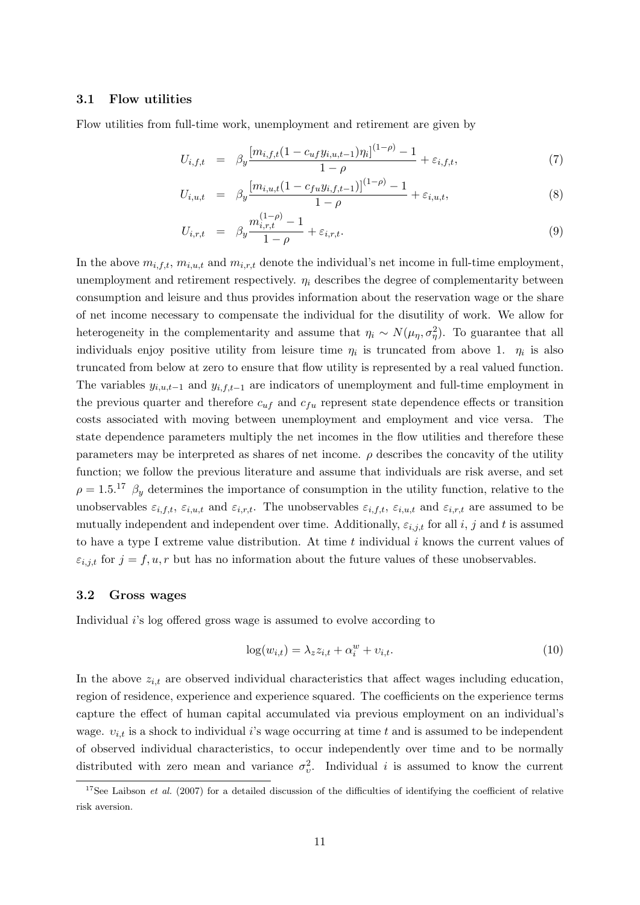## **3.1 Flow utilities**

Flow utilities from full-time work, unemployment and retirement are given by

$$
U_{i,f,t} = \beta_y \frac{[m_{i,f,t}(1 - c_{uf}y_{i,u,t-1})\eta_i]^{(1-\rho)} - 1}{1-\rho} + \varepsilon_{i,f,t},\tag{7}
$$

$$
U_{i,u,t} = \beta_y \frac{[m_{i,u,t}(1 - c_{fu}y_{i,f,t-1})]^{(1-\rho)} - 1}{1-\rho} + \varepsilon_{i,u,t},
$$
\n(8)

$$
U_{i,r,t} = \beta_y \frac{m_{i,r,t}^{(1-\rho)} - 1}{1-\rho} + \varepsilon_{i,r,t}.
$$
 (9)

In the above  $m_{i,f,t}$ ,  $m_{i,u,t}$  and  $m_{i,r,t}$  denote the individual's net income in full-time employment, unemployment and retirement respectively.  $\eta_i$  describes the degree of complementarity between consumption and leisure and thus provides information about the reservation wage or the share of net income necessary to compensate the individual for the disutility of work. We allow for heterogeneity in the complementarity and assume that  $\eta_i \sim N(\mu_\eta, \sigma_\eta^2)$ . To guarantee that all individuals enjoy positive utility from leisure time  $\eta_i$  is truncated from above 1.  $\eta_i$  is also truncated from below at zero to ensure that flow utility is represented by a real valued function. The variables *yi,u,t−*<sup>1</sup> and *yi,f,t−*<sup>1</sup> are indicators of unemployment and full-time employment in the previous quarter and therefore  $c_{uf}$  and  $c_{fu}$  represent state dependence effects or transition costs associated with moving between unemployment and employment and vice versa. The state dependence parameters multiply the net incomes in the flow utilities and therefore these parameters may be interpreted as shares of net income.  $\rho$  describes the concavity of the utility function; we follow the previous literature and assume that individuals are risk averse, and set  $\rho = 1.5$ <sup>17</sup>  $\beta_y$  determines the importance of consumption in the utility function, relative to the unobservables  $\varepsilon_{i,f,t}$ ,  $\varepsilon_{i,u,t}$  and  $\varepsilon_{i,r,t}$ . The unobservables  $\varepsilon_{i,f,t}$ ,  $\varepsilon_{i,u,t}$  and  $\varepsilon_{i,r,t}$  are assumed to be mutually independent and independent over time. Additionally,  $\varepsilon_{i,j,t}$  for all *i*, *j* and *t* is assumed to have a type I extreme value distribution. At time *t* individual *i* knows the current values of  $\varepsilon_{i,j,t}$  for  $j = f, u, r$  but has no information about the future values of these unobservables.

### **3.2 Gross wages**

Individual *i*'s log offered gross wage is assumed to evolve according to

$$
\log(w_{i,t}) = \lambda_z z_{i,t} + \alpha_i^w + v_{i,t}.\tag{10}
$$

In the above  $z_{i,t}$  are observed individual characteristics that affect wages including education, region of residence, experience and experience squared. The coefficients on the experience terms capture the effect of human capital accumulated via previous employment on an individual's wage. *υi,t* is a shock to individual *i*'s wage occurring at time *t* and is assumed to be independent of observed individual characteristics, to occur independently over time and to be normally distributed with zero mean and variance  $\sigma_v^2$ . Individual *i* is assumed to know the current

<sup>&</sup>lt;sup>17</sup>See Laibson *et al.* (2007) for a detailed discussion of the difficulties of identifying the coefficient of relative risk aversion.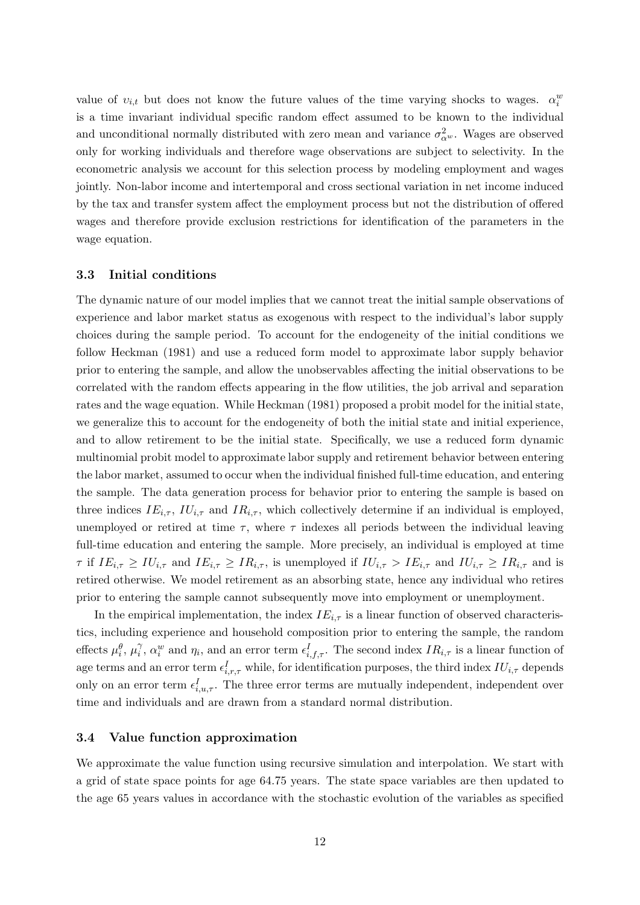value of  $v_{i,t}$  but does not know the future values of the time varying shocks to wages.  $\alpha_i^w$ is a time invariant individual specific random effect assumed to be known to the individual and unconditional normally distributed with zero mean and variance  $\sigma_{\alpha^w}^2$ . Wages are observed only for working individuals and therefore wage observations are subject to selectivity. In the econometric analysis we account for this selection process by modeling employment and wages jointly. Non-labor income and intertemporal and cross sectional variation in net income induced by the tax and transfer system affect the employment process but not the distribution of offered wages and therefore provide exclusion restrictions for identification of the parameters in the wage equation.

## **3.3 Initial conditions**

The dynamic nature of our model implies that we cannot treat the initial sample observations of experience and labor market status as exogenous with respect to the individual's labor supply choices during the sample period. To account for the endogeneity of the initial conditions we follow Heckman (1981) and use a reduced form model to approximate labor supply behavior prior to entering the sample, and allow the unobservables affecting the initial observations to be correlated with the random effects appearing in the flow utilities, the job arrival and separation rates and the wage equation. While Heckman (1981) proposed a probit model for the initial state, we generalize this to account for the endogeneity of both the initial state and initial experience, and to allow retirement to be the initial state. Specifically, we use a reduced form dynamic multinomial probit model to approximate labor supply and retirement behavior between entering the labor market, assumed to occur when the individual finished full-time education, and entering the sample. The data generation process for behavior prior to entering the sample is based on three indices  $IE_{i,\tau}$ ,  $IU_{i,\tau}$  and  $IR_{i,\tau}$ , which collectively determine if an individual is employed, unemployed or retired at time  $\tau$ , where  $\tau$  indexes all periods between the individual leaving full-time education and entering the sample. More precisely, an individual is employed at time  $\tau$  if  $IE_{i,\tau} \geq IU_{i,\tau}$  and  $IE_{i,\tau} \geq IR_{i,\tau}$ , is unemployed if  $IU_{i,\tau} > IE_{i,\tau}$  and  $IU_{i,\tau} \geq IR_{i,\tau}$  and is retired otherwise. We model retirement as an absorbing state, hence any individual who retires prior to entering the sample cannot subsequently move into employment or unemployment.

In the empirical implementation, the index  $IE_{i,\tau}$  is a linear function of observed characteristics, including experience and household composition prior to entering the sample, the random effects  $\mu_i^{\theta}$ ,  $\mu_i^{\gamma}$  $\hat{i}$ ,  $\alpha_i^w$  and  $\eta_i$ , and an error term  $\epsilon_{i,f,\tau}^I$ . The second index  $IR_{i,\tau}$  is a linear function of age terms and an error term  $\epsilon_{i,r,\tau}^I$  while, for identification purposes, the third index  $IU_{i,\tau}$  depends only on an error term  $\epsilon_{i,u,\tau}^I$ . The three error terms are mutually independent, independent over time and individuals and are drawn from a standard normal distribution.

## **3.4 Value function approximation**

We approximate the value function using recursive simulation and interpolation. We start with a grid of state space points for age 64.75 years. The state space variables are then updated to the age 65 years values in accordance with the stochastic evolution of the variables as specified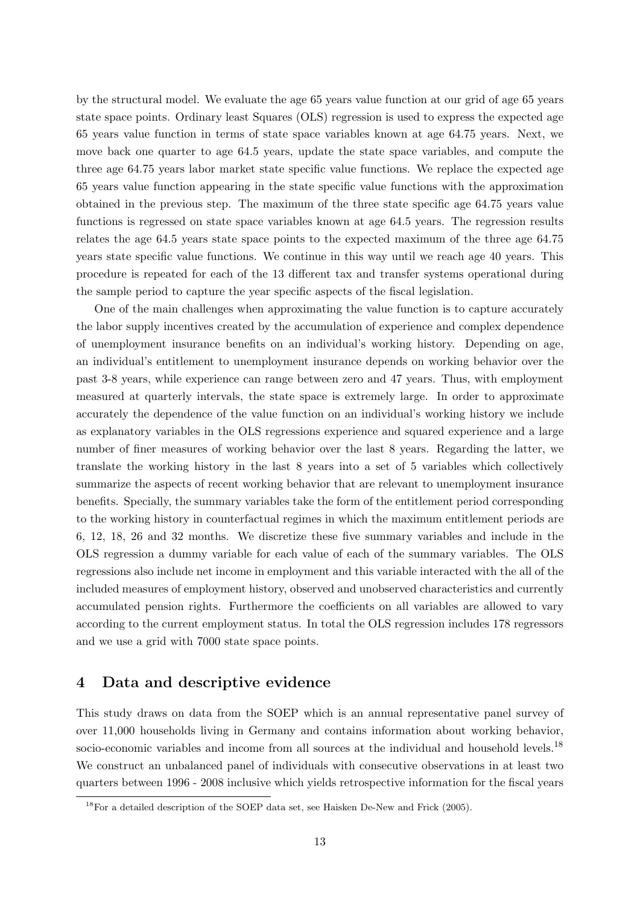by the structural model. We evaluate the age 65 years value function at our grid of age 65 years state space points. Ordinary least Squares (OLS) regression is used to express the expected age 65 years value function in terms of state space variables known at age 64.75 years. Next, we move back one quarter to age 64.5 years, update the state space variables, and compute the three age 64.75 years labor market state specific value functions. We replace the expected age 65 years value function appearing in the state specific value functions with the approximation obtained in the previous step. The maximum of the three state specific age 64.75 years value functions is regressed on state space variables known at age 64.5 years. The regression results relates the age 64.5 years state space points to the expected maximum of the three age 64.75 years state specific value functions. We continue in this way until we reach age 40 years. This procedure is repeated for each of the 13 different tax and transfer systems operational during the sample period to capture the year specific aspects of the fiscal legislation.

One of the main challenges when approximating the value function is to capture accurately the labor supply incentives created by the accumulation of experience and complex dependence of unemployment insurance benefits on an individual's working history. Depending on age, an individual's entitlement to unemployment insurance depends on working behavior over the past 3-8 years, while experience can range between zero and 47 years. Thus, with employment measured at quarterly intervals, the state space is extremely large. In order to approximate accurately the dependence of the value function on an individual's working history we include as explanatory variables in the OLS regressions experience and squared experience and a large number of finer measures of working behavior over the last 8 years. Regarding the latter, we translate the working history in the last 8 years into a set of 5 variables which collectively summarize the aspects of recent working behavior that are relevant to unemployment insurance benefits. Specially, the summary variables take the form of the entitlement period corresponding to the working history in counterfactual regimes in which the maximum entitlement periods are 6, 12, 18, 26 and 32 months. We discretize these five summary variables and include in the OLS regression a dummy variable for each value of each of the summary variables. The OLS regressions also include net income in employment and this variable interacted with the all of the included measures of employment history, observed and unobserved characteristics and currently accumulated pension rights. Furthermore the coefficients on all variables are allowed to vary according to the current employment status. In total the OLS regression includes 178 regressors and we use a grid with 7000 state space points.

# **4 Data and descriptive evidence**

This study draws on data from the SOEP which is an annual representative panel survey of over 11,000 households living in Germany and contains information about working behavior, socio-economic variables and income from all sources at the individual and household levels.<sup>18</sup> We construct an unbalanced panel of individuals with consecutive observations in at least two quarters between 1996 - 2008 inclusive which yields retrospective information for the fiscal years

<sup>18</sup>For a detailed description of the SOEP data set, see Haisken De-New and Frick (2005).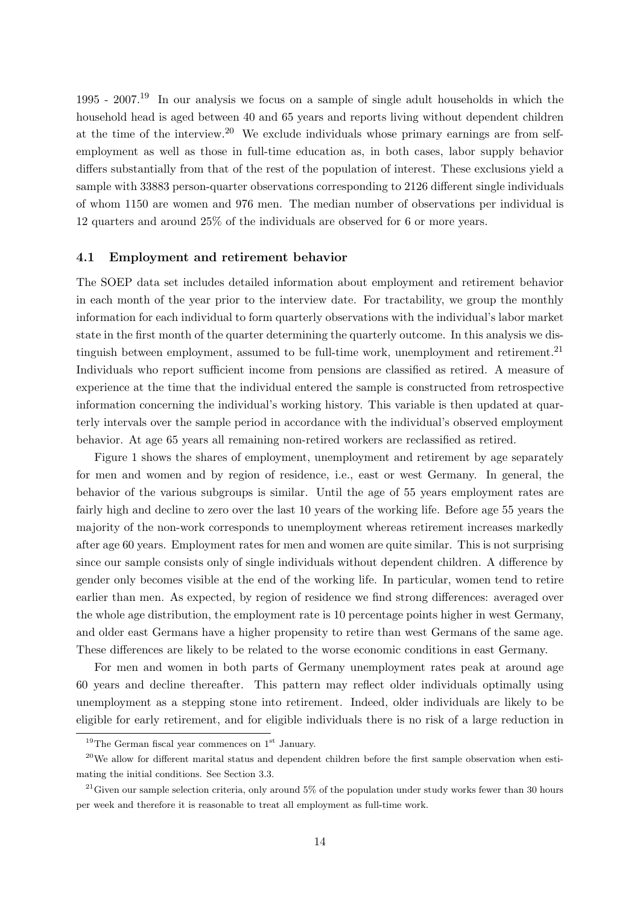1995 - 2007.<sup>19</sup> In our analysis we focus on a sample of single adult households in which the household head is aged between 40 and 65 years and reports living without dependent children at the time of the interview.<sup>20</sup> We exclude individuals whose primary earnings are from selfemployment as well as those in full-time education as, in both cases, labor supply behavior differs substantially from that of the rest of the population of interest. These exclusions yield a sample with 33883 person-quarter observations corresponding to 2126 different single individuals of whom 1150 are women and 976 men. The median number of observations per individual is 12 quarters and around 25% of the individuals are observed for 6 or more years.

### **4.1 Employment and retirement behavior**

The SOEP data set includes detailed information about employment and retirement behavior in each month of the year prior to the interview date. For tractability, we group the monthly information for each individual to form quarterly observations with the individual's labor market state in the first month of the quarter determining the quarterly outcome. In this analysis we distinguish between employment, assumed to be full-time work, unemployment and retirement.<sup>21</sup> Individuals who report sufficient income from pensions are classified as retired. A measure of experience at the time that the individual entered the sample is constructed from retrospective information concerning the individual's working history. This variable is then updated at quarterly intervals over the sample period in accordance with the individual's observed employment behavior. At age 65 years all remaining non-retired workers are reclassified as retired.

Figure 1 shows the shares of employment, unemployment and retirement by age separately for men and women and by region of residence, i.e., east or west Germany. In general, the behavior of the various subgroups is similar. Until the age of 55 years employment rates are fairly high and decline to zero over the last 10 years of the working life. Before age 55 years the majority of the non-work corresponds to unemployment whereas retirement increases markedly after age 60 years. Employment rates for men and women are quite similar. This is not surprising since our sample consists only of single individuals without dependent children. A difference by gender only becomes visible at the end of the working life. In particular, women tend to retire earlier than men. As expected, by region of residence we find strong differences: averaged over the whole age distribution, the employment rate is 10 percentage points higher in west Germany, and older east Germans have a higher propensity to retire than west Germans of the same age. These differences are likely to be related to the worse economic conditions in east Germany.

For men and women in both parts of Germany unemployment rates peak at around age 60 years and decline thereafter. This pattern may reflect older individuals optimally using unemployment as a stepping stone into retirement. Indeed, older individuals are likely to be eligible for early retirement, and for eligible individuals there is no risk of a large reduction in

<sup>&</sup>lt;sup>19</sup>The German fiscal year commences on  $1<sup>st</sup>$  January.

 $^{20}$ We allow for different marital status and dependent children before the first sample observation when estimating the initial conditions. See Section 3.3.

 $^{21}$ Given our sample selection criteria, only around 5% of the population under study works fewer than 30 hours per week and therefore it is reasonable to treat all employment as full-time work.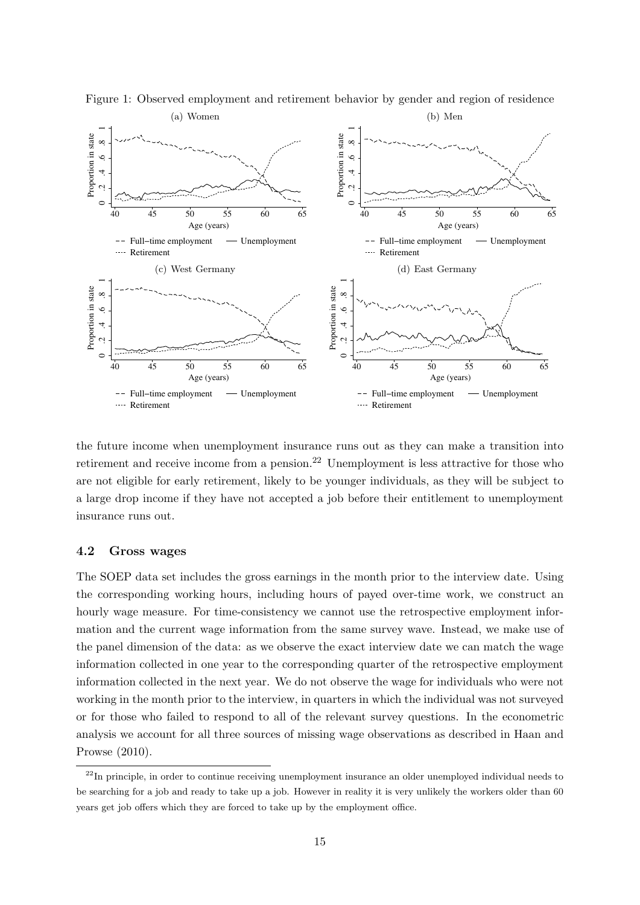

Figure 1: Observed employment and retirement behavior by gender and region of residence

the future income when unemployment insurance runs out as they can make a transition into retirement and receive income from a pension.<sup>22</sup> Unemployment is less attractive for those who are not eligible for early retirement, likely to be younger individuals, as they will be subject to a large drop income if they have not accepted a job before their entitlement to unemployment insurance runs out.

# **4.2 Gross wages**

The SOEP data set includes the gross earnings in the month prior to the interview date. Using the corresponding working hours, including hours of payed over-time work, we construct an hourly wage measure. For time-consistency we cannot use the retrospective employment information and the current wage information from the same survey wave. Instead, we make use of the panel dimension of the data: as we observe the exact interview date we can match the wage information collected in one year to the corresponding quarter of the retrospective employment information collected in the next year. We do not observe the wage for individuals who were not working in the month prior to the interview, in quarters in which the individual was not surveyed or for those who failed to respond to all of the relevant survey questions. In the econometric analysis we account for all three sources of missing wage observations as described in Haan and Prowse (2010).

<sup>&</sup>lt;sup>22</sup>In principle, in order to continue receiving unemployment insurance an older unemployed individual needs to be searching for a job and ready to take up a job. However in reality it is very unlikely the workers older than 60 years get job offers which they are forced to take up by the employment office.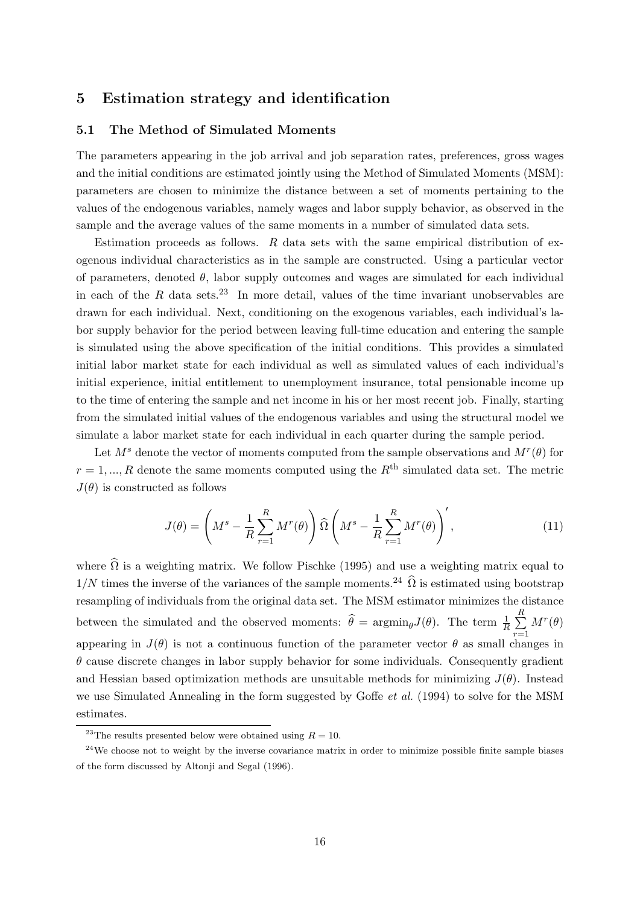# **5 Estimation strategy and identification**

# **5.1 The Method of Simulated Moments**

The parameters appearing in the job arrival and job separation rates, preferences, gross wages and the initial conditions are estimated jointly using the Method of Simulated Moments (MSM): parameters are chosen to minimize the distance between a set of moments pertaining to the values of the endogenous variables, namely wages and labor supply behavior, as observed in the sample and the average values of the same moments in a number of simulated data sets.

Estimation proceeds as follows. *R* data sets with the same empirical distribution of exogenous individual characteristics as in the sample are constructed. Using a particular vector of parameters, denoted  $\theta$ , labor supply outcomes and wages are simulated for each individual in each of the  $R$  data sets.<sup>23</sup> In more detail, values of the time invariant unobservables are drawn for each individual. Next, conditioning on the exogenous variables, each individual's labor supply behavior for the period between leaving full-time education and entering the sample is simulated using the above specification of the initial conditions. This provides a simulated initial labor market state for each individual as well as simulated values of each individual's initial experience, initial entitlement to unemployment insurance, total pensionable income up to the time of entering the sample and net income in his or her most recent job. Finally, starting from the simulated initial values of the endogenous variables and using the structural model we simulate a labor market state for each individual in each quarter during the sample period.

Let  $M^s$  denote the vector of moments computed from the sample observations and  $M^r(\theta)$  for  $r = 1, \dots, R$  denote the same moments computed using the  $R<sup>th</sup>$  simulated data set. The metric  $J(\theta)$  is constructed as follows

$$
J(\theta) = \left(M^s - \frac{1}{R} \sum_{r=1}^R M^r(\theta)\right) \widehat{\Omega}\left(M^s - \frac{1}{R} \sum_{r=1}^R M^r(\theta)\right),\tag{11}
$$

where  $\widehat{\Omega}$  is a weighting matrix. We follow Pischke (1995) and use a weighting matrix equal to  $1/N$  times the inverse of the variances of the sample moments.<sup>24</sup>  $\hat{\Omega}$  is estimated using bootstrap resampling of individuals from the original data set. The MSM estimator minimizes the distance between the simulated and the observed moments:  $\hat{\theta} = \operatorname{argmin}_{\theta} J(\theta)$ . The term  $\frac{1}{R} \sum_{i=1}^{R}$ *r*=1 *M<sup>r</sup>* (*θ*) appearing in  $J(\theta)$  is not a continuous function of the parameter vector  $\theta$  as small changes in *θ* cause discrete changes in labor supply behavior for some individuals. Consequently gradient and Hessian based optimization methods are unsuitable methods for minimizing  $J(\theta)$ . Instead we use Simulated Annealing in the form suggested by Goffe *et al.* (1994) to solve for the MSM estimates.

<sup>&</sup>lt;sup>23</sup>The results presented below were obtained using  $R = 10$ .

 $24$ We choose not to weight by the inverse covariance matrix in order to minimize possible finite sample biases of the form discussed by Altonji and Segal (1996).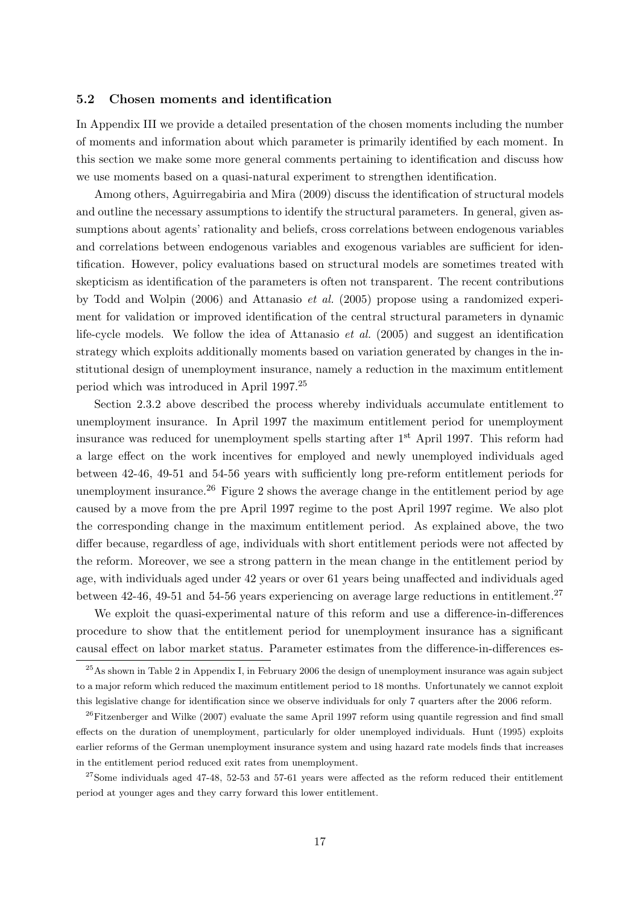#### **5.2 Chosen moments and identification**

In Appendix III we provide a detailed presentation of the chosen moments including the number of moments and information about which parameter is primarily identified by each moment. In this section we make some more general comments pertaining to identification and discuss how we use moments based on a quasi-natural experiment to strengthen identification.

Among others, Aguirregabiria and Mira (2009) discuss the identification of structural models and outline the necessary assumptions to identify the structural parameters. In general, given assumptions about agents' rationality and beliefs, cross correlations between endogenous variables and correlations between endogenous variables and exogenous variables are sufficient for identification. However, policy evaluations based on structural models are sometimes treated with skepticism as identification of the parameters is often not transparent. The recent contributions by Todd and Wolpin (2006) and Attanasio *et al.* (2005) propose using a randomized experiment for validation or improved identification of the central structural parameters in dynamic life-cycle models. We follow the idea of Attanasio *et al.* (2005) and suggest an identification strategy which exploits additionally moments based on variation generated by changes in the institutional design of unemployment insurance, namely a reduction in the maximum entitlement period which was introduced in April 1997.<sup>25</sup>

Section 2.3.2 above described the process whereby individuals accumulate entitlement to unemployment insurance. In April 1997 the maximum entitlement period for unemployment insurance was reduced for unemployment spells starting after 1<sup>st</sup> April 1997. This reform had a large effect on the work incentives for employed and newly unemployed individuals aged between 42-46, 49-51 and 54-56 years with sufficiently long pre-reform entitlement periods for unemployment insurance.<sup>26</sup> Figure 2 shows the average change in the entitlement period by age caused by a move from the pre April 1997 regime to the post April 1997 regime. We also plot the corresponding change in the maximum entitlement period. As explained above, the two differ because, regardless of age, individuals with short entitlement periods were not affected by the reform. Moreover, we see a strong pattern in the mean change in the entitlement period by age, with individuals aged under 42 years or over 61 years being unaffected and individuals aged between 42-46, 49-51 and 54-56 years experiencing on average large reductions in entitlement.<sup>27</sup>

We exploit the quasi-experimental nature of this reform and use a difference-in-differences procedure to show that the entitlement period for unemployment insurance has a significant causal effect on labor market status. Parameter estimates from the difference-in-differences es-

 $27$ Some individuals aged 47-48, 52-53 and 57-61 years were affected as the reform reduced their entitlement period at younger ages and they carry forward this lower entitlement.

<sup>&</sup>lt;sup>25</sup>As shown in Table 2 in Appendix I, in February 2006 the design of unemployment insurance was again subject to a major reform which reduced the maximum entitlement period to 18 months. Unfortunately we cannot exploit this legislative change for identification since we observe individuals for only 7 quarters after the 2006 reform.

 $^{26}$ Fitzenberger and Wilke (2007) evaluate the same April 1997 reform using quantile regression and find small effects on the duration of unemployment, particularly for older unemployed individuals. Hunt (1995) exploits earlier reforms of the German unemployment insurance system and using hazard rate models finds that increases in the entitlement period reduced exit rates from unemployment.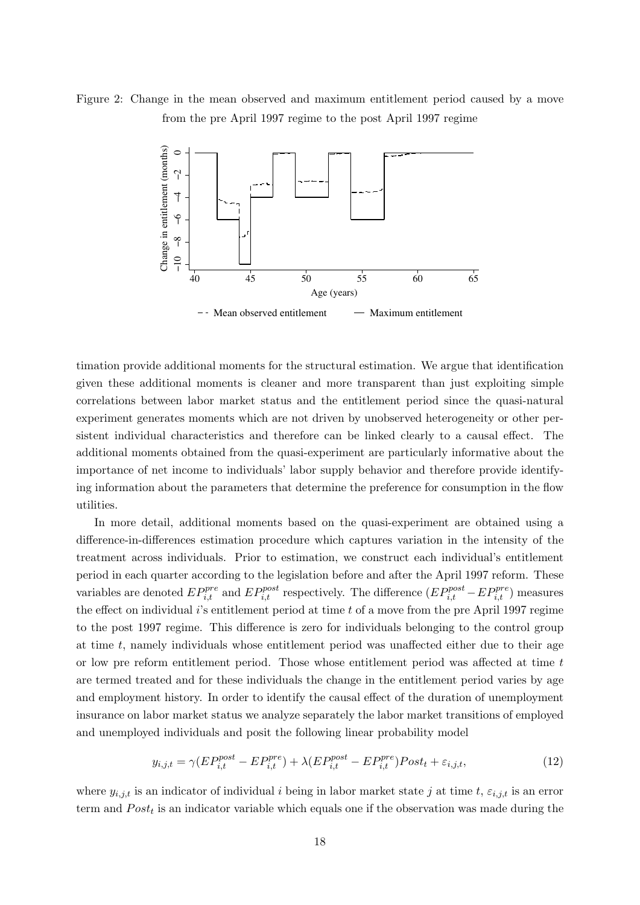Figure 2: Change in the mean observed and maximum entitlement period caused by a move from the pre April 1997 regime to the post April 1997 regime



-- Mean observed entitlement -- Maximum entitlement

timation provide additional moments for the structural estimation. We argue that identification given these additional moments is cleaner and more transparent than just exploiting simple correlations between labor market status and the entitlement period since the quasi-natural experiment generates moments which are not driven by unobserved heterogeneity or other persistent individual characteristics and therefore can be linked clearly to a causal effect. The additional moments obtained from the quasi-experiment are particularly informative about the importance of net income to individuals' labor supply behavior and therefore provide identifying information about the parameters that determine the preference for consumption in the flow utilities.

In more detail, additional moments based on the quasi-experiment are obtained using a difference-in-differences estimation procedure which captures variation in the intensity of the treatment across individuals. Prior to estimation, we construct each individual's entitlement period in each quarter according to the legislation before and after the April 1997 reform. These variables are denoted  $EP_{i,t}^{pre}$  and  $EP_{i,t}^{post}$  respectively. The difference  $(EP_{i,t}^{post} - EP_{i,t}^{pre})$  measures the effect on individual *i*'s entitlement period at time *t* of a move from the pre April 1997 regime to the post 1997 regime. This difference is zero for individuals belonging to the control group at time *t*, namely individuals whose entitlement period was unaffected either due to their age or low pre reform entitlement period. Those whose entitlement period was affected at time *t* are termed treated and for these individuals the change in the entitlement period varies by age and employment history. In order to identify the causal effect of the duration of unemployment insurance on labor market status we analyze separately the labor market transitions of employed and unemployed individuals and posit the following linear probability model

$$
y_{i,j,t} = \gamma (EP_{i,t}^{post} - EP_{i,t}^{pre}) + \lambda (EP_{i,t}^{post} - EP_{i,t}^{pre})
$$
Post<sub>t</sub> +  $\varepsilon_{i,j,t}$ , (12)

where  $y_{i,j,t}$  is an indicator of individual *i* being in labor market state *j* at time *t*,  $\varepsilon_{i,j,t}$  is an error term and  $Post<sub>t</sub>$  is an indicator variable which equals one if the observation was made during the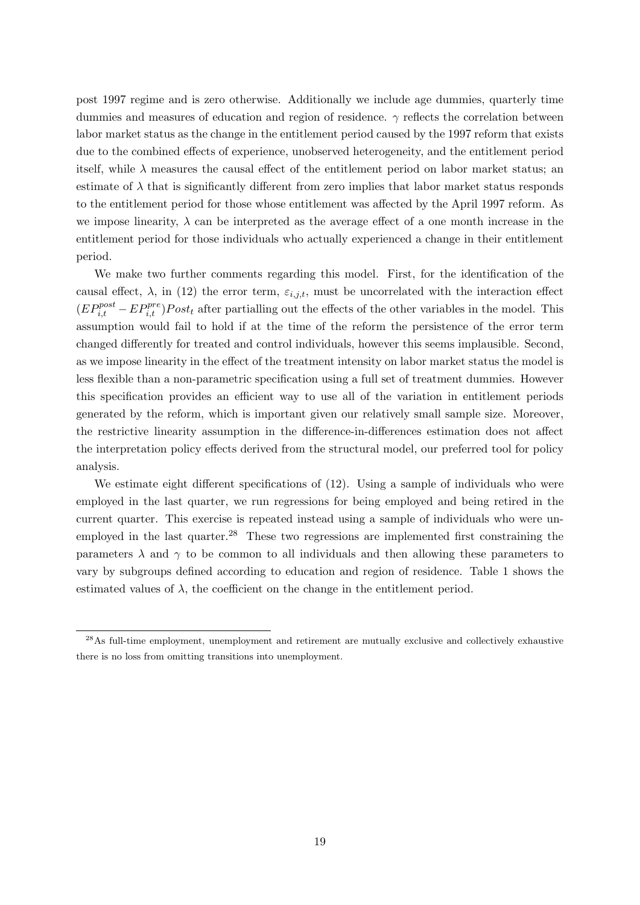post 1997 regime and is zero otherwise. Additionally we include age dummies, quarterly time dummies and measures of education and region of residence. *γ* reflects the correlation between labor market status as the change in the entitlement period caused by the 1997 reform that exists due to the combined effects of experience, unobserved heterogeneity, and the entitlement period itself, while  $\lambda$  measures the causal effect of the entitlement period on labor market status; an estimate of  $\lambda$  that is significantly different from zero implies that labor market status responds to the entitlement period for those whose entitlement was affected by the April 1997 reform. As we impose linearity,  $\lambda$  can be interpreted as the average effect of a one month increase in the entitlement period for those individuals who actually experienced a change in their entitlement period.

We make two further comments regarding this model. First, for the identification of the causal effect,  $\lambda$ , in (12) the error term,  $\varepsilon_{i,j,t}$ , must be uncorrelated with the interaction effect  $(EP_{i,t}^{post} - EP_{i,t}^{pre})$ Post<sub>t</sub> after partialling out the effects of the other variables in the model. This assumption would fail to hold if at the time of the reform the persistence of the error term changed differently for treated and control individuals, however this seems implausible. Second, as we impose linearity in the effect of the treatment intensity on labor market status the model is less flexible than a non-parametric specification using a full set of treatment dummies. However this specification provides an efficient way to use all of the variation in entitlement periods generated by the reform, which is important given our relatively small sample size. Moreover, the restrictive linearity assumption in the difference-in-differences estimation does not affect the interpretation policy effects derived from the structural model, our preferred tool for policy analysis.

We estimate eight different specifications of (12). Using a sample of individuals who were employed in the last quarter, we run regressions for being employed and being retired in the current quarter. This exercise is repeated instead using a sample of individuals who were unemployed in the last quarter.<sup>28</sup> These two regressions are implemented first constraining the parameters  $\lambda$  and  $\gamma$  to be common to all individuals and then allowing these parameters to vary by subgroups defined according to education and region of residence. Table 1 shows the estimated values of  $\lambda$ , the coefficient on the change in the entitlement period.

<sup>&</sup>lt;sup>28</sup>As full-time employment, unemployment and retirement are mutually exclusive and collectively exhaustive there is no loss from omitting transitions into unemployment.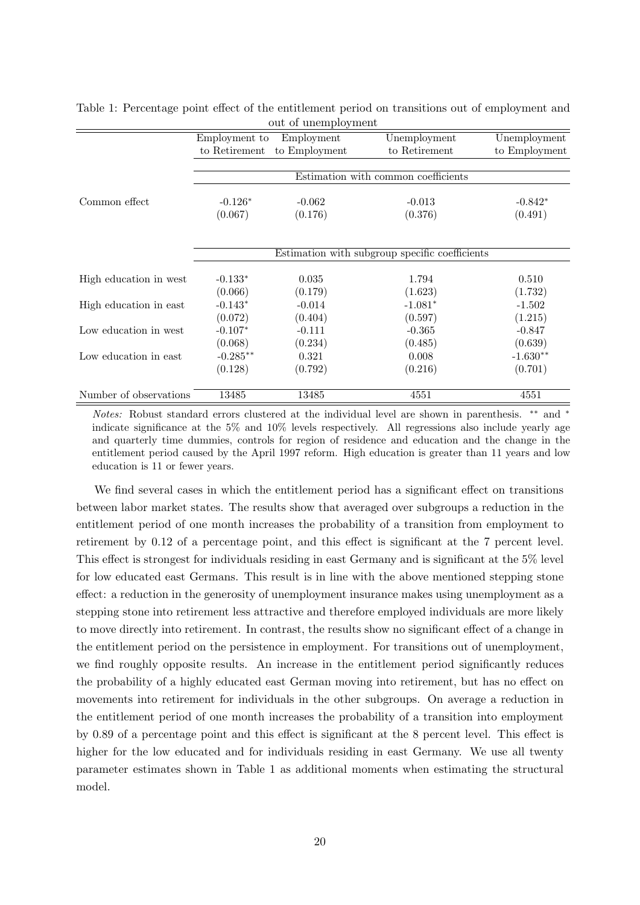|                        | Employment to                       | Employment    | Unemployment                                   | Unemployment  |  |  |  |  |  |
|------------------------|-------------------------------------|---------------|------------------------------------------------|---------------|--|--|--|--|--|
|                        | to Retirement                       | to Employment | to Retirement                                  | to Employment |  |  |  |  |  |
|                        |                                     |               |                                                |               |  |  |  |  |  |
|                        | Estimation with common coefficients |               |                                                |               |  |  |  |  |  |
|                        |                                     |               |                                                |               |  |  |  |  |  |
| Common effect          | $-0.126*$                           | $-0.062$      | $-0.013$                                       | $-0.842*$     |  |  |  |  |  |
|                        | (0.067)                             | (0.176)       | (0.376)                                        | (0.491)       |  |  |  |  |  |
|                        |                                     |               |                                                |               |  |  |  |  |  |
|                        |                                     |               | Estimation with subgroup specific coefficients |               |  |  |  |  |  |
|                        |                                     |               |                                                |               |  |  |  |  |  |
| High education in west | $-0.133*$                           | 0.035         | 1.794                                          | 0.510         |  |  |  |  |  |
|                        | (0.066)                             | (0.179)       | (1.623)                                        | (1.732)       |  |  |  |  |  |
| High education in east | $-0.143*$                           | $-0.014$      | $-1.081*$                                      | $-1.502$      |  |  |  |  |  |
|                        | (0.072)                             | (0.404)       | (0.597)                                        | (1.215)       |  |  |  |  |  |
| Low education in west  | $-0.107*$                           | $-0.111$      | $-0.365$                                       | $-0.847$      |  |  |  |  |  |
|                        | (0.068)                             | (0.234)       | (0.485)                                        | (0.639)       |  |  |  |  |  |
| Low education in east  | $-0.285**$                          | 0.321         | 0.008                                          | $-1.630**$    |  |  |  |  |  |
|                        | (0.128)                             | (0.792)       | (0.216)                                        | (0.701)       |  |  |  |  |  |
|                        |                                     |               |                                                |               |  |  |  |  |  |
| Number of observations | 13485                               | 13485         | 4551                                           | 4551          |  |  |  |  |  |

|  |  |  | Table 1: Percentage point effect of the entitlement period on transitions out of employment and |  |  |  |  |
|--|--|--|-------------------------------------------------------------------------------------------------|--|--|--|--|
|  |  |  | out of unemployment                                                                             |  |  |  |  |

*Notes:* Robust standard errors clustered at the individual level are shown in parenthesis. *∗∗* and *<sup>∗</sup>* indicate significance at the 5% and 10% levels respectively. All regressions also include yearly age and quarterly time dummies, controls for region of residence and education and the change in the entitlement period caused by the April 1997 reform. High education is greater than 11 years and low education is 11 or fewer years.

We find several cases in which the entitlement period has a significant effect on transitions between labor market states. The results show that averaged over subgroups a reduction in the entitlement period of one month increases the probability of a transition from employment to retirement by 0.12 of a percentage point, and this effect is significant at the 7 percent level. This effect is strongest for individuals residing in east Germany and is significant at the 5% level for low educated east Germans. This result is in line with the above mentioned stepping stone effect: a reduction in the generosity of unemployment insurance makes using unemployment as a stepping stone into retirement less attractive and therefore employed individuals are more likely to move directly into retirement. In contrast, the results show no significant effect of a change in the entitlement period on the persistence in employment. For transitions out of unemployment, we find roughly opposite results. An increase in the entitlement period significantly reduces the probability of a highly educated east German moving into retirement, but has no effect on movements into retirement for individuals in the other subgroups. On average a reduction in the entitlement period of one month increases the probability of a transition into employment by 0.89 of a percentage point and this effect is significant at the 8 percent level. This effect is higher for the low educated and for individuals residing in east Germany. We use all twenty parameter estimates shown in Table 1 as additional moments when estimating the structural model.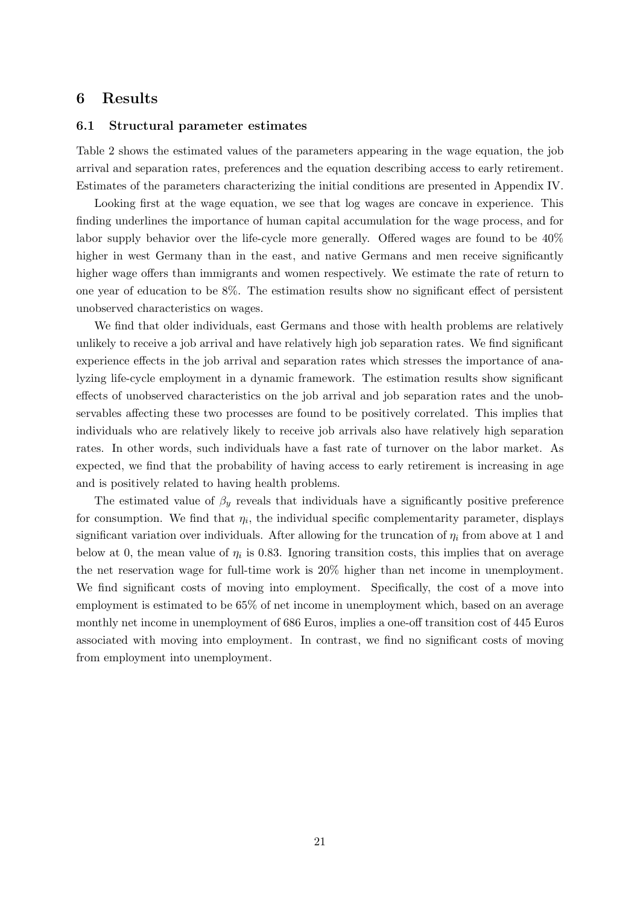# **6 Results**

### **6.1 Structural parameter estimates**

Table 2 shows the estimated values of the parameters appearing in the wage equation, the job arrival and separation rates, preferences and the equation describing access to early retirement. Estimates of the parameters characterizing the initial conditions are presented in Appendix IV.

Looking first at the wage equation, we see that log wages are concave in experience. This finding underlines the importance of human capital accumulation for the wage process, and for labor supply behavior over the life-cycle more generally. Offered wages are found to be 40% higher in west Germany than in the east, and native Germans and men receive significantly higher wage offers than immigrants and women respectively. We estimate the rate of return to one year of education to be 8%. The estimation results show no significant effect of persistent unobserved characteristics on wages.

We find that older individuals, east Germans and those with health problems are relatively unlikely to receive a job arrival and have relatively high job separation rates. We find significant experience effects in the job arrival and separation rates which stresses the importance of analyzing life-cycle employment in a dynamic framework. The estimation results show significant effects of unobserved characteristics on the job arrival and job separation rates and the unobservables affecting these two processes are found to be positively correlated. This implies that individuals who are relatively likely to receive job arrivals also have relatively high separation rates. In other words, such individuals have a fast rate of turnover on the labor market. As expected, we find that the probability of having access to early retirement is increasing in age and is positively related to having health problems.

The estimated value of  $\beta_y$  reveals that individuals have a significantly positive preference for consumption. We find that  $\eta_i$ , the individual specific complementarity parameter, displays significant variation over individuals. After allowing for the truncation of  $\eta_i$  from above at 1 and below at 0, the mean value of  $\eta_i$  is 0.83. Ignoring transition costs, this implies that on average the net reservation wage for full-time work is 20% higher than net income in unemployment. We find significant costs of moving into employment. Specifically, the cost of a move into employment is estimated to be 65% of net income in unemployment which, based on an average monthly net income in unemployment of 686 Euros, implies a one-off transition cost of 445 Euros associated with moving into employment. In contrast, we find no significant costs of moving from employment into unemployment.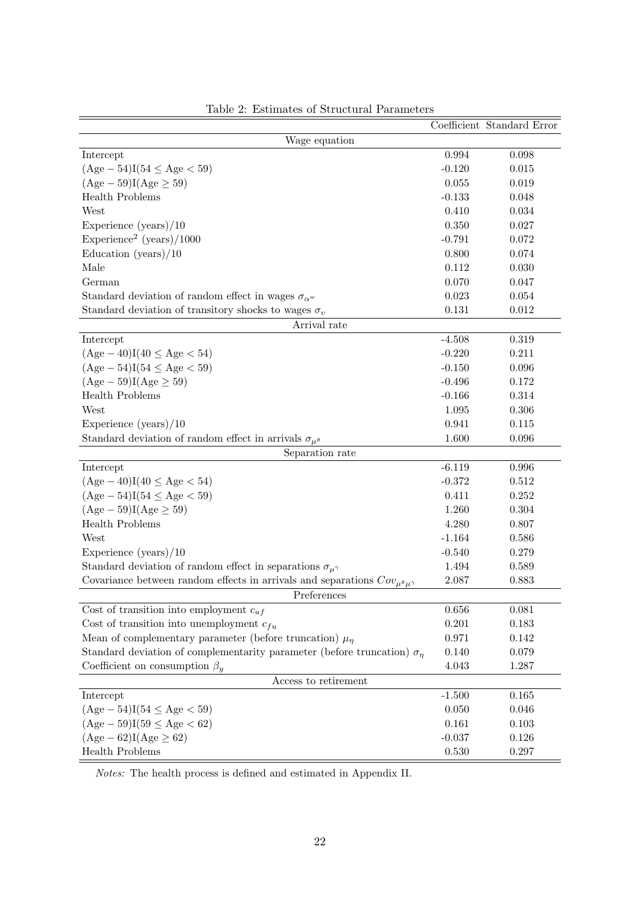|                                                                                                |          | Coefficient Standard Error |
|------------------------------------------------------------------------------------------------|----------|----------------------------|
| Wage equation                                                                                  |          |                            |
| Intercept                                                                                      | 0.994    | 0.098                      |
| $(Age - 54)I(54 \le Age < 59)$                                                                 | $-0.120$ | 0.015                      |
| $(Age - 59)I(Age \ge 59)$                                                                      | 0.055    | 0.019                      |
| <b>Health Problems</b>                                                                         | $-0.133$ | 0.048                      |
| West                                                                                           | 0.410    | 0.034                      |
| Experience $(years)/10$                                                                        | 0.350    | 0.027                      |
| Experience <sup>2</sup> (years)/1000                                                           | $-0.791$ | 0.072                      |
| Education (years)/10                                                                           | 0.800    | 0.074                      |
| Male                                                                                           | 0.112    | 0.030                      |
| German                                                                                         | 0.070    | 0.047                      |
| Standard deviation of random effect in wages $\sigma_{\alpha^w}$                               | 0.023    | 0.054                      |
| Standard deviation of transitory shocks to wages $\sigma_v$                                    | 0.131    | 0.012                      |
| Arrival rate                                                                                   |          |                            |
| Intercept                                                                                      | $-4.508$ | 0.319                      |
| $(Age - 40)I(40 \le Age < 54)$                                                                 | $-0.220$ | 0.211                      |
| $(Age - 54)I(54 \le Age < 59)$                                                                 | $-0.150$ | 0.096                      |
| $(Age - 59)I(Age \ge 59)$                                                                      | $-0.496$ | 0.172                      |
| <b>Health Problems</b>                                                                         | $-0.166$ | 0.314                      |
| West                                                                                           | 1.095    | 0.306                      |
| Experience $(years)/10$                                                                        | 0.941    | 0.115                      |
| Standard deviation of random effect in arrivals $\sigma_{\mu}$ <sup>o</sup>                    | 1.600    | 0.096                      |
| Separation rate                                                                                |          |                            |
| Intercept                                                                                      | $-6.119$ | 0.996                      |
| $(Age - 40)I(40 \le Age < 54)$                                                                 | $-0.372$ | 0.512                      |
| $(Age - 54)I(54 \le Age < 59)$                                                                 | 0.411    | 0.252                      |
| $(Age - 59)I(Age \ge 59)$                                                                      | 1.260    | 0.304                      |
| <b>Health Problems</b>                                                                         | 4.280    | 0.807                      |
| West                                                                                           | $-1.164$ | 0.586                      |
| Experience $(years)/10$                                                                        | $-0.540$ | 0.279                      |
| Standard deviation of random effect in separations $\sigma_{\mu}$                              | 1.494    | 0.589                      |
| Covariance between random effects in arrivals and separations $Cov_{\mu^{\theta}\mu^{\gamma}}$ | 2.087    | 0.883                      |
| Preferences                                                                                    |          |                            |
| Cost of transition into employment $c_{uf}$                                                    | 0.656    | 0.081                      |
| Cost of transition into unemployment $c_{fu}$                                                  | 0.201    | 0.183                      |
| Mean of complementary parameter (before truncation) $\mu_n$                                    | 0.971    | 0.142                      |
| Standard deviation of complementarity parameter (before truncation) $\sigma_{\eta}$            | 0.140    | 0.079                      |
| Coefficient on consumption $\beta_u$                                                           | 4.043    | 1.287                      |
| Access to retirement                                                                           |          |                            |
| Intercept                                                                                      | $-1.500$ | $0.165\,$                  |
| $(\mathrm{Age}-54) \mathrm{I} (54 \leq \mathrm{Age} < 59)$                                     | 0.050    | 0.046                      |
| $(Age - 59)I(59 \le Age < 62)$                                                                 | 0.161    | 0.103                      |
| $(Age - 62)I(Age \ge 62)$                                                                      | $-0.037$ | 0.126                      |
| <b>Health Problems</b>                                                                         | 0.530    | 0.297                      |

Table 2: Estimates of Structural Parameters

*Notes:* The health process is defined and estimated in Appendix II.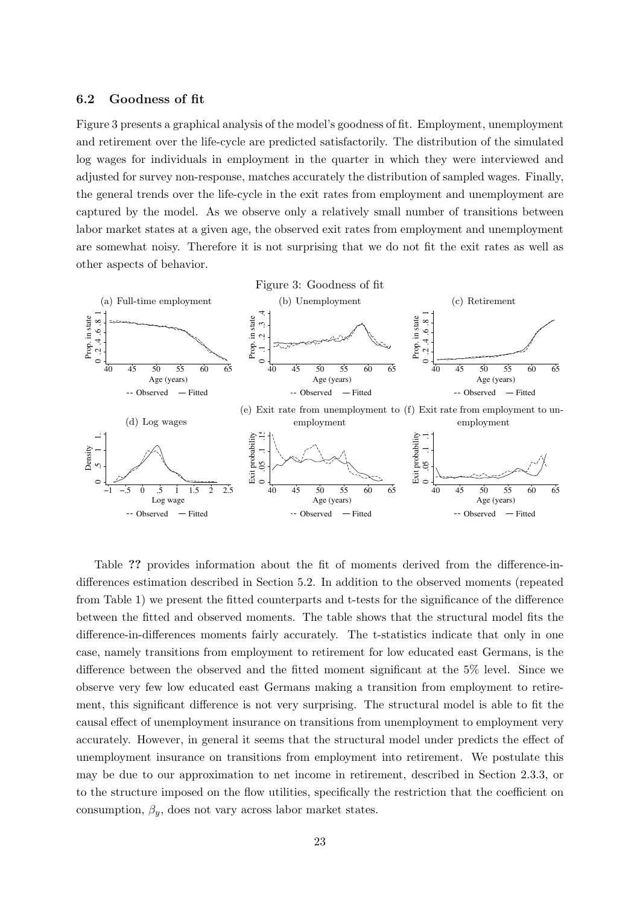## **6.2 Goodness of fit**

Figure 3 presents a graphical analysis of the model's goodness of fit. Employment, unemployment and retirement over the life-cycle are predicted satisfactorily. The distribution of the simulated log wages for individuals in employment in the quarter in which they were interviewed and adjusted for survey non-response, matches accurately the distribution of sampled wages. Finally, the general trends over the life-cycle in the exit rates from employment and unemployment are captured by the model. As we observe only a relatively small number of transitions between labor market states at a given age, the observed exit rates from employment and unemployment are somewhat noisy. Therefore it is not surprising that we do not fit the exit rates as well as other aspects of behavior.



Table **??** provides information about the fit of moments derived from the difference-indifferences estimation described in Section 5.2. In addition to the observed moments (repeated from Table 1) we present the fitted counterparts and t-tests for the significance of the difference between the fitted and observed moments. The table shows that the structural model fits the difference-in-differences moments fairly accurately. The t-statistics indicate that only in one case, namely transitions from employment to retirement for low educated east Germans, is the difference between the observed and the fitted moment significant at the 5% level. Since we observe very few low educated east Germans making a transition from employment to retirement, this significant difference is not very surprising. The structural model is able to fit the causal effect of unemployment insurance on transitions from unemployment to employment very accurately. However, in general it seems that the structural model under predicts the effect of unemployment insurance on transitions from employment into retirement. We postulate this may be due to our approximation to net income in retirement, described in Section 2.3.3, or to the structure imposed on the flow utilities, specifically the restriction that the coefficient on consumption,  $\beta_y$ , does not vary across labor market states.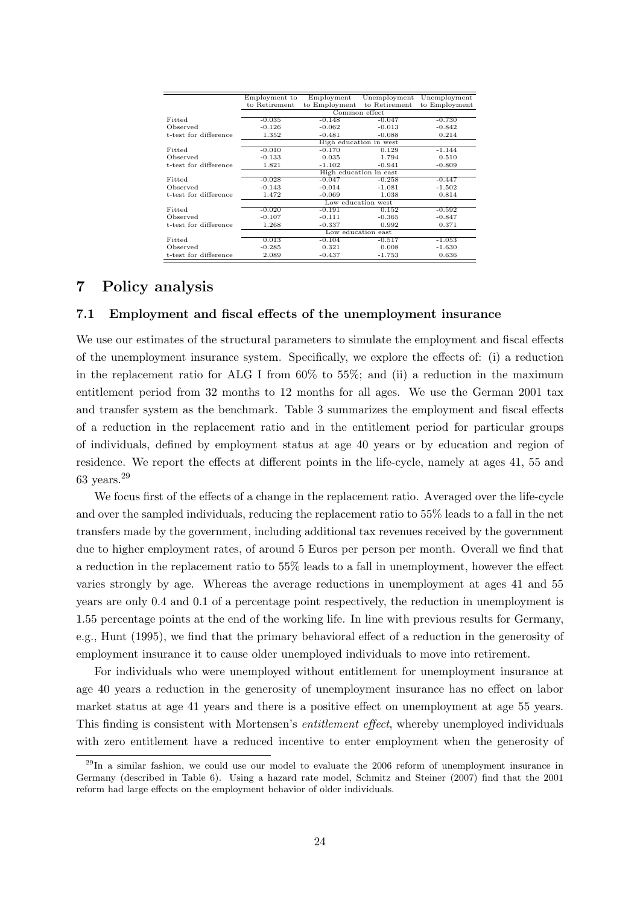|                       | Employment to | Employment             | Unemployment  | Unemployment  |
|-----------------------|---------------|------------------------|---------------|---------------|
|                       | to Retirement | to Employment          | to Retirement | to Employment |
|                       |               | Common effect          |               |               |
| Fitted                | $-0.035$      | $-0.148$               | $-0.047$      | $-0.730$      |
| Observed              | $-0.126$      | $-0.062$               | $-0.013$      | $-0.842$      |
| t-test for difference | 1.352         | $-0.481$               | $-0.088$      | 0.214         |
|                       |               | High education in west |               |               |
| Fitted                | $-0.010$      | $-0.170$               | 0.129         | $-1.144$      |
| Observed              | $-0.133$      | 0.035                  | 1.794         | 0.510         |
| t-test for difference | 1.821         | $-1.102$               | $-0.941$      | $-0.809$      |
|                       |               | High education in east |               |               |
| Fitted                | $-0.028$      | $-0.047$               | $-0.258$      | $-0.447$      |
| Observed              | $-0.143$      | $-0.014$               | $-1.081$      | $-1.502$      |
| t-test for difference | 1.472         | $-0.069$               | 1.038         | 0.814         |
|                       |               | Low education west     |               |               |
| Fitted                | $-0.020$      | $-0.191$               | 0.152         | $-0.592$      |
| Observed              | $-0.107$      | $-0.111$               | $-0.365$      | $-0.847$      |
| t-test for difference | 1.268         | $-0.337$               | 0.992         | 0.371         |
|                       |               | Low education east     |               |               |
| Fitted                | 0.013         | $-0.104$               | $-0.517$      | $-1.053$      |
| Observed              | $-0.285$      | 0.321                  | 0.008         | $-1.630$      |
| t-test for difference | 2.089         | $-0.437$               | $-1.753$      | 0.636         |

# **7 Policy analysis**

## **7.1 Employment and fiscal effects of the unemployment insurance**

We use our estimates of the structural parameters to simulate the employment and fiscal effects of the unemployment insurance system. Specifically, we explore the effects of: (i) a reduction in the replacement ratio for ALG I from 60% to 55%; and (ii) a reduction in the maximum entitlement period from 32 months to 12 months for all ages. We use the German 2001 tax and transfer system as the benchmark. Table 3 summarizes the employment and fiscal effects of a reduction in the replacement ratio and in the entitlement period for particular groups of individuals, defined by employment status at age 40 years or by education and region of residence. We report the effects at different points in the life-cycle, namely at ages 41, 55 and 63 years.<sup>29</sup>

We focus first of the effects of a change in the replacement ratio. Averaged over the life-cycle and over the sampled individuals, reducing the replacement ratio to 55% leads to a fall in the net transfers made by the government, including additional tax revenues received by the government due to higher employment rates, of around 5 Euros per person per month. Overall we find that a reduction in the replacement ratio to 55% leads to a fall in unemployment, however the effect varies strongly by age. Whereas the average reductions in unemployment at ages 41 and 55 years are only 0.4 and 0.1 of a percentage point respectively, the reduction in unemployment is 1.55 percentage points at the end of the working life. In line with previous results for Germany, e.g., Hunt (1995), we find that the primary behavioral effect of a reduction in the generosity of employment insurance it to cause older unemployed individuals to move into retirement.

For individuals who were unemployed without entitlement for unemployment insurance at age 40 years a reduction in the generosity of unemployment insurance has no effect on labor market status at age 41 years and there is a positive effect on unemployment at age 55 years. This finding is consistent with Mortensen's *entitlement effect*, whereby unemployed individuals with zero entitlement have a reduced incentive to enter employment when the generosity of

 $^{29}$ In a similar fashion, we could use our model to evaluate the 2006 reform of unemployment insurance in Germany (described in Table 6). Using a hazard rate model, Schmitz and Steiner (2007) find that the 2001 reform had large effects on the employment behavior of older individuals.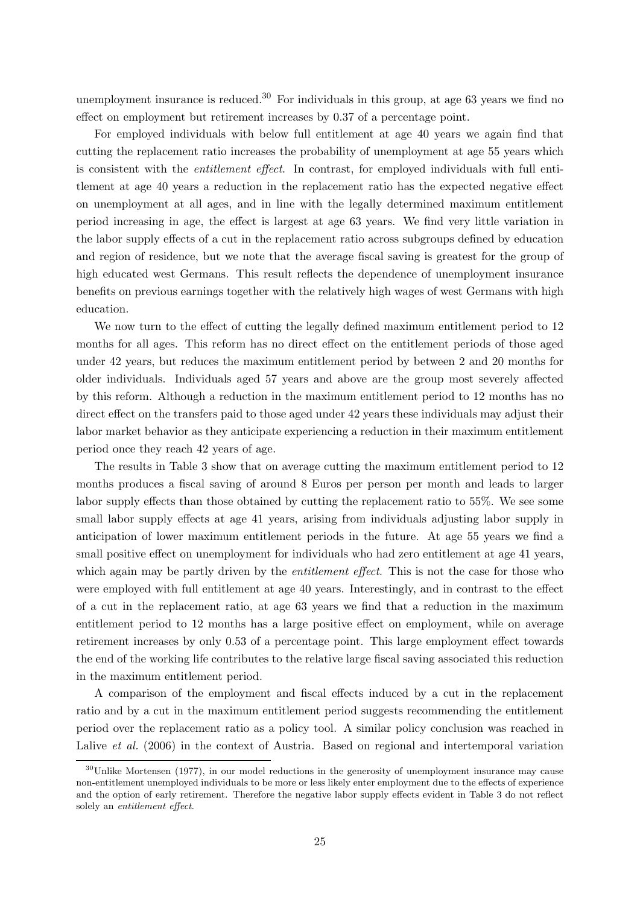unemployment insurance is reduced.<sup>30</sup> For individuals in this group, at age 63 years we find no effect on employment but retirement increases by 0.37 of a percentage point.

For employed individuals with below full entitlement at age 40 years we again find that cutting the replacement ratio increases the probability of unemployment at age 55 years which is consistent with the *entitlement effect*. In contrast, for employed individuals with full entitlement at age 40 years a reduction in the replacement ratio has the expected negative effect on unemployment at all ages, and in line with the legally determined maximum entitlement period increasing in age, the effect is largest at age 63 years. We find very little variation in the labor supply effects of a cut in the replacement ratio across subgroups defined by education and region of residence, but we note that the average fiscal saving is greatest for the group of high educated west Germans. This result reflects the dependence of unemployment insurance benefits on previous earnings together with the relatively high wages of west Germans with high education.

We now turn to the effect of cutting the legally defined maximum entitlement period to 12 months for all ages. This reform has no direct effect on the entitlement periods of those aged under 42 years, but reduces the maximum entitlement period by between 2 and 20 months for older individuals. Individuals aged 57 years and above are the group most severely affected by this reform. Although a reduction in the maximum entitlement period to 12 months has no direct effect on the transfers paid to those aged under 42 years these individuals may adjust their labor market behavior as they anticipate experiencing a reduction in their maximum entitlement period once they reach 42 years of age.

The results in Table 3 show that on average cutting the maximum entitlement period to 12 months produces a fiscal saving of around 8 Euros per person per month and leads to larger labor supply effects than those obtained by cutting the replacement ratio to 55%. We see some small labor supply effects at age 41 years, arising from individuals adjusting labor supply in anticipation of lower maximum entitlement periods in the future. At age 55 years we find a small positive effect on unemployment for individuals who had zero entitlement at age 41 years, which again may be partly driven by the *entitlement effect*. This is not the case for those who were employed with full entitlement at age 40 years. Interestingly, and in contrast to the effect of a cut in the replacement ratio, at age 63 years we find that a reduction in the maximum entitlement period to 12 months has a large positive effect on employment, while on average retirement increases by only 0.53 of a percentage point. This large employment effect towards the end of the working life contributes to the relative large fiscal saving associated this reduction in the maximum entitlement period.

A comparison of the employment and fiscal effects induced by a cut in the replacement ratio and by a cut in the maximum entitlement period suggests recommending the entitlement period over the replacement ratio as a policy tool. A similar policy conclusion was reached in Lalive *et al.* (2006) in the context of Austria. Based on regional and intertemporal variation

<sup>&</sup>lt;sup>30</sup>Unlike Mortensen (1977), in our model reductions in the generosity of unemployment insurance may cause non-entitlement unemployed individuals to be more or less likely enter employment due to the effects of experience and the option of early retirement. Therefore the negative labor supply effects evident in Table 3 do not reflect solely an *entitlement effect*.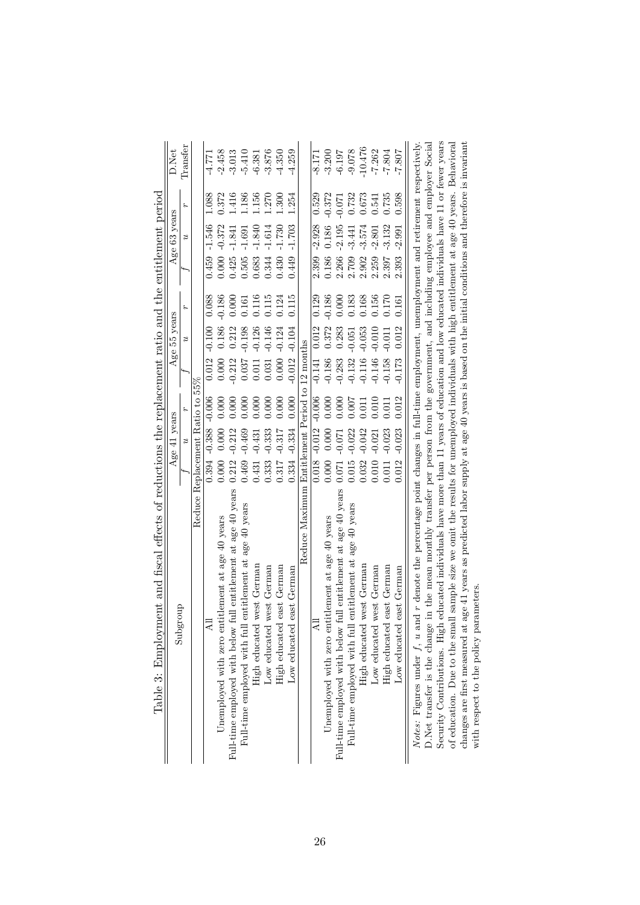| ent and fiscal effects of reductions the replacement ratio and the entitlement period | D.Net<br>years<br>ස<br>Age<br>55 years<br>Age<br>years<br>$\frac{1}{4}$<br>Age | Transfer<br>۶<br>$\boldsymbol{u}$<br>٤<br>ప<br>z | Reduce Replacement Ratio to 55% | $-4.771$<br>1.088<br>$-1.546$<br>0.459<br>0.088<br>$-0.100$<br>0.012<br>$-0.388$<br>0.394 | $-2.458$<br>0.372<br>$-0.372$<br>0.000<br>$-0.186$<br>0.186<br>0.000<br>0.000<br>0.000<br>0.000 | $-3.013$<br>1.416<br>$-1.841$<br>0.425<br>0.000<br>0.212<br>0.212<br>0.000<br>$-0.212$<br>0.212 | $-5.410$<br>1.186<br>$-1.691$<br>0.505<br>0.161<br>$-0.198$<br>0.037<br>0.00<br>$-0.469$<br>0.469 | $-6.381$<br>1.156<br>$-1.840$<br>0.683<br>0.116<br>$-0.126$<br>0.011<br>0.000<br>$-0.431$<br>0.431 | $-3.876$<br>1.270<br>$-1.614$<br>0.344<br>0.115<br>$-0.146$<br>0.031<br>0.000<br>$-0.333$<br>0.333 | $-4.350$<br>1.300<br>$-1.730$<br>0.430<br>0.124<br>$-0.124$<br>0.000<br>0.000<br>$-0.317$<br>0.317 | $-4.259$<br>1.254<br>$-1.703$<br>0.449<br>0.115<br>$-0.104$<br>0.012<br>0.000<br>$-0.334$<br>0.334 | 12 months<br>Entitlement Period to | -8.171<br>0.529<br>$-2.928$<br>2.399<br>0.129<br>0.012<br>$-0.141$<br>$-0.006$<br>$-0.012$<br>0.018 | $-3.200$<br>$-0.372$<br>0.186<br>0.186<br>$-0.186$<br>0.372<br>$-0.186$<br>0.000<br>0.000<br>0.000 | $-6.197$<br>$-0.071$<br>$-2.195$<br>2.266<br>0.000<br>0.283<br>$-0.283$<br>0.000<br>$-0.071$<br>0.071 | $-9.078$<br>0.732<br>$-3.441$<br>2.709<br>0.183<br>$-0.051$<br>$-0.132$<br>0.007<br>$-0.022$<br>0.015 | $-10.476$<br>0.673<br>$-3.574$<br>2.902<br>0.168<br>$-0.053$<br>$-0.116$<br>0.011<br>$-0.042$<br>0.032 | $-7.262$<br>0.541<br>$-2.801$<br>2.259<br>0.156<br>$-0.010$<br>$-0.146$<br>0.010<br>$-0.021$<br>0.010 | $-7.804$<br>0.735<br>$-3.132$<br>2.397<br>0.170<br>$-0.011$<br>$-0.158$<br>0.011<br>$-0.023$<br>0.011 | $-7.807$<br>598<br>$-2.991$<br>393<br>0.161<br>0.012<br>$-0.173$<br>0.012<br>$-0.023$<br>0.012 | Notes: Figures under f, u and r denote the percentage point changes in full-time employment, unemployment and retirement respectively | D.Net transfer is the change in the mean monthly transfer per person from the government, and including employee and employer Social | educated individuals have more than 11 years of education and low educated individuals have 11 or fewer years<br>Il sample size we omit the results for unemployed individuals with high entitlement at age 40 years. Behavioral | age 41 years as predicted labor supply at age 40 years is based on the initial conditions and therefore is invariant |                                        |
|---------------------------------------------------------------------------------------|--------------------------------------------------------------------------------|--------------------------------------------------|---------------------------------|-------------------------------------------------------------------------------------------|-------------------------------------------------------------------------------------------------|-------------------------------------------------------------------------------------------------|---------------------------------------------------------------------------------------------------|----------------------------------------------------------------------------------------------------|----------------------------------------------------------------------------------------------------|----------------------------------------------------------------------------------------------------|----------------------------------------------------------------------------------------------------|------------------------------------|-----------------------------------------------------------------------------------------------------|----------------------------------------------------------------------------------------------------|-------------------------------------------------------------------------------------------------------|-------------------------------------------------------------------------------------------------------|--------------------------------------------------------------------------------------------------------|-------------------------------------------------------------------------------------------------------|-------------------------------------------------------------------------------------------------------|------------------------------------------------------------------------------------------------|---------------------------------------------------------------------------------------------------------------------------------------|--------------------------------------------------------------------------------------------------------------------------------------|----------------------------------------------------------------------------------------------------------------------------------------------------------------------------------------------------------------------------------|----------------------------------------------------------------------------------------------------------------------|----------------------------------------|
| Table 3: Employm                                                                      |                                                                                | dno.<br>Subgro                                   |                                 | ā                                                                                         | itlement at age 40 years<br>Unemployed with zero ent                                            | full entitlement at age 40 years<br>Full-time employed with below f                             | entitlement at age 40 years<br>Full-time employed with full                                       | west German<br>High educated                                                                       | west German<br>Low educated                                                                        | east German<br>High educated                                                                       | German<br>east<br>Low educated                                                                     | Reduce Maximum                     | ā                                                                                                   | Unemployed with zero entitlement at age 40 years                                                   | Full-time employed with below full entitlement at age 40 years                                        | entitlement at age 40 years<br>Full-time employed with full                                           | west German<br>High educated                                                                           | west German<br>Low educated                                                                           | east German<br>High educated                                                                          | east German<br>Low educated                                                                    |                                                                                                                                       |                                                                                                                                      | of education. Due to the smal<br>Security Contributions. High                                                                                                                                                                    | changes are first measured at                                                                                        | with respect to the policy parameters. |

|       | j<br> <br> <br> <br>$\frac{1}{2}$ |  |
|-------|-----------------------------------|--|
|       | l<br>i                            |  |
|       |                                   |  |
|       |                                   |  |
|       | l                                 |  |
|       | i<br>S                            |  |
| ֖֚֚֚֬ |                                   |  |
|       |                                   |  |
|       |                                   |  |
|       |                                   |  |
|       |                                   |  |
|       |                                   |  |
|       |                                   |  |
|       |                                   |  |
|       | .<br>.<br>.                       |  |
| l     |                                   |  |
|       |                                   |  |
|       |                                   |  |
| I     | F<br>I                            |  |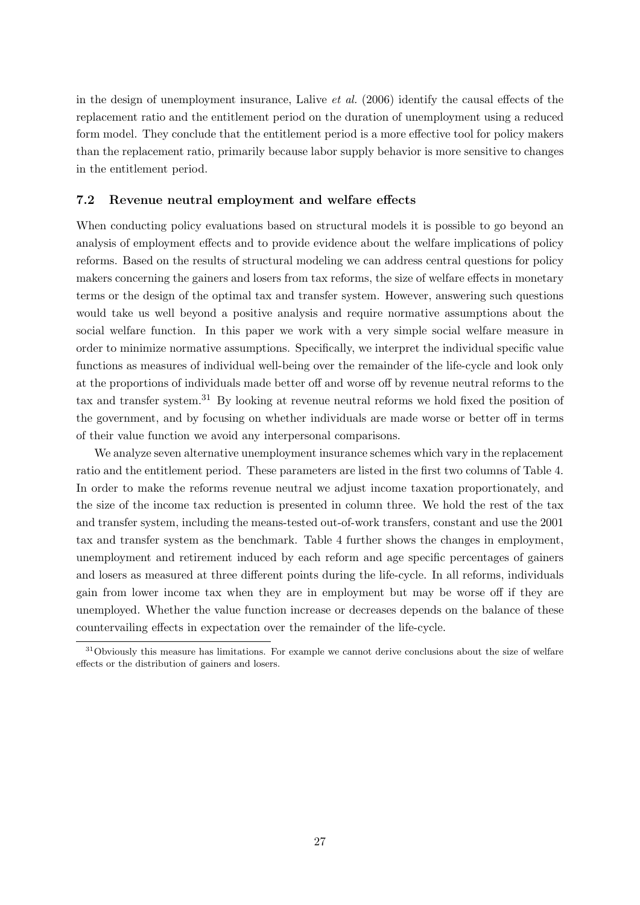in the design of unemployment insurance, Lalive *et al.* (2006) identify the causal effects of the replacement ratio and the entitlement period on the duration of unemployment using a reduced form model. They conclude that the entitlement period is a more effective tool for policy makers than the replacement ratio, primarily because labor supply behavior is more sensitive to changes in the entitlement period.

# **7.2 Revenue neutral employment and welfare effects**

When conducting policy evaluations based on structural models it is possible to go beyond an analysis of employment effects and to provide evidence about the welfare implications of policy reforms. Based on the results of structural modeling we can address central questions for policy makers concerning the gainers and losers from tax reforms, the size of welfare effects in monetary terms or the design of the optimal tax and transfer system. However, answering such questions would take us well beyond a positive analysis and require normative assumptions about the social welfare function. In this paper we work with a very simple social welfare measure in order to minimize normative assumptions. Specifically, we interpret the individual specific value functions as measures of individual well-being over the remainder of the life-cycle and look only at the proportions of individuals made better off and worse off by revenue neutral reforms to the tax and transfer system.<sup>31</sup> By looking at revenue neutral reforms we hold fixed the position of the government, and by focusing on whether individuals are made worse or better off in terms of their value function we avoid any interpersonal comparisons.

We analyze seven alternative unemployment insurance schemes which vary in the replacement ratio and the entitlement period. These parameters are listed in the first two columns of Table 4. In order to make the reforms revenue neutral we adjust income taxation proportionately, and the size of the income tax reduction is presented in column three. We hold the rest of the tax and transfer system, including the means-tested out-of-work transfers, constant and use the 2001 tax and transfer system as the benchmark. Table 4 further shows the changes in employment, unemployment and retirement induced by each reform and age specific percentages of gainers and losers as measured at three different points during the life-cycle. In all reforms, individuals gain from lower income tax when they are in employment but may be worse off if they are unemployed. Whether the value function increase or decreases depends on the balance of these countervailing effects in expectation over the remainder of the life-cycle.

<sup>&</sup>lt;sup>31</sup>Obviously this measure has limitations. For example we cannot derive conclusions about the size of welfare effects or the distribution of gainers and losers.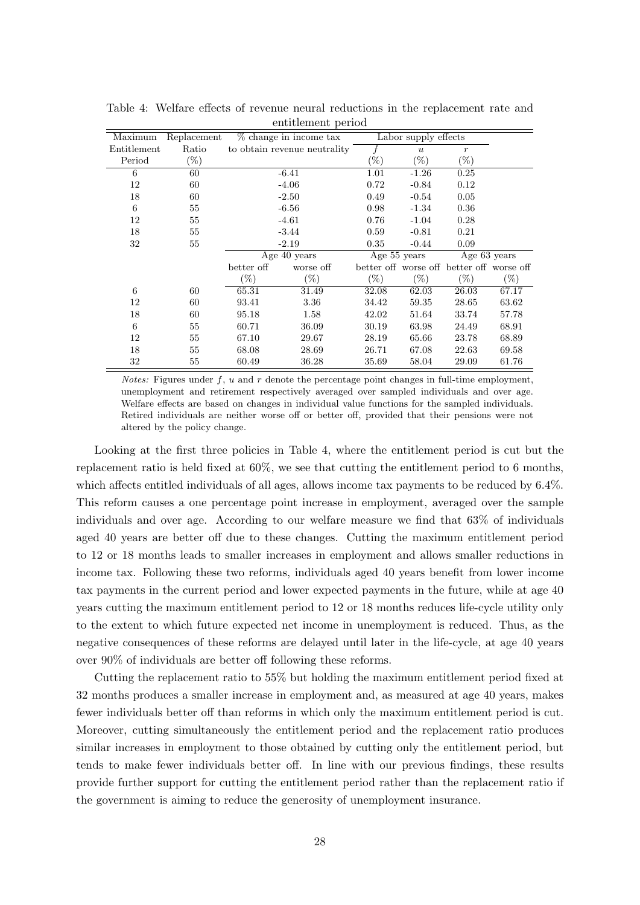|             |             |            | ononomone portou             |        |                      |                                           |        |
|-------------|-------------|------------|------------------------------|--------|----------------------|-------------------------------------------|--------|
| Maximum     | Replacement |            | % change in income tax       |        | Labor supply effects |                                           |        |
| Entitlement | Ratio       |            | to obtain revenue neutrality |        | $\boldsymbol{u}$     | $\boldsymbol{r}$                          |        |
| Period      | $(\%)$      |            |                              | $(\%)$ | $(\%)$               | $(\%)$                                    |        |
| 6           | 60          |            | $-6.41$                      | 1.01   | $-1.26$              | 0.25                                      |        |
| 12          | 60          |            | $-4.06$                      | 0.72   | $-0.84$              | 0.12                                      |        |
| 18          | 60          |            | $-2.50$                      | 0.49   | $-0.54$              | 0.05                                      |        |
| 6           | 55          |            | $-6.56$                      | 0.98   | $-1.34$              | 0.36                                      |        |
| 12          | 55          |            | $-4.61$                      | 0.76   | $-1.04$              | 0.28                                      |        |
| 18          | 55          |            | $-3.44$                      | 0.59   | $-0.81$              | 0.21                                      |        |
| 32          | 55          | $-2.19$    |                              | 0.35   | $-0.44$              | 0.09                                      |        |
|             |             |            | Age 40 years                 |        | Age 55 years         | Age 63 years                              |        |
|             |             | better off | worse off                    |        |                      | better off worse off better off worse off |        |
|             |             | $(\%)$     | $(\%)$                       | $(\%)$ | $(\%)$               | $(\%)$                                    | $(\%)$ |
| 6           | 60          | 65.31      | 31.49                        | 32.08  | 62.03                | 26.03                                     | 67.17  |
| 12          | 60          | 93.41      | 3.36                         | 34.42  | 59.35                | 28.65                                     | 63.62  |
| 18          | 60          | 95.18      | 1.58                         | 42.02  | 51.64                | 33.74                                     | 57.78  |
| 6           | 55          | 60.71      | 36.09                        | 30.19  | 63.98                | 24.49                                     | 68.91  |
| 12          | 55          | 67.10      | 29.67                        | 28.19  | 65.66                | 23.78                                     | 68.89  |
| 18          | 55          | 68.08      | 28.69                        | 26.71  | 67.08                | 22.63                                     | 69.58  |
| 32          | 55          | 60.49      | 36.28                        | 35.69  | 58.04                | 29.09                                     | 61.76  |

Table 4: Welfare effects of revenue neural reductions in the replacement rate and entitlement period

*Notes:* Figures under *f*, *u* and *r* denote the percentage point changes in full-time employment, unemployment and retirement respectively averaged over sampled individuals and over age. Welfare effects are based on changes in individual value functions for the sampled individuals. Retired individuals are neither worse off or better off, provided that their pensions were not altered by the policy change.

Looking at the first three policies in Table 4, where the entitlement period is cut but the replacement ratio is held fixed at 60%, we see that cutting the entitlement period to 6 months, which affects entitled individuals of all ages, allows income tax payments to be reduced by 6.4%. This reform causes a one percentage point increase in employment, averaged over the sample individuals and over age. According to our welfare measure we find that 63% of individuals aged 40 years are better off due to these changes. Cutting the maximum entitlement period to 12 or 18 months leads to smaller increases in employment and allows smaller reductions in income tax. Following these two reforms, individuals aged 40 years benefit from lower income tax payments in the current period and lower expected payments in the future, while at age 40 years cutting the maximum entitlement period to 12 or 18 months reduces life-cycle utility only to the extent to which future expected net income in unemployment is reduced. Thus, as the negative consequences of these reforms are delayed until later in the life-cycle, at age 40 years over 90% of individuals are better off following these reforms.

Cutting the replacement ratio to 55% but holding the maximum entitlement period fixed at 32 months produces a smaller increase in employment and, as measured at age 40 years, makes fewer individuals better off than reforms in which only the maximum entitlement period is cut. Moreover, cutting simultaneously the entitlement period and the replacement ratio produces similar increases in employment to those obtained by cutting only the entitlement period, but tends to make fewer individuals better off. In line with our previous findings, these results provide further support for cutting the entitlement period rather than the replacement ratio if the government is aiming to reduce the generosity of unemployment insurance.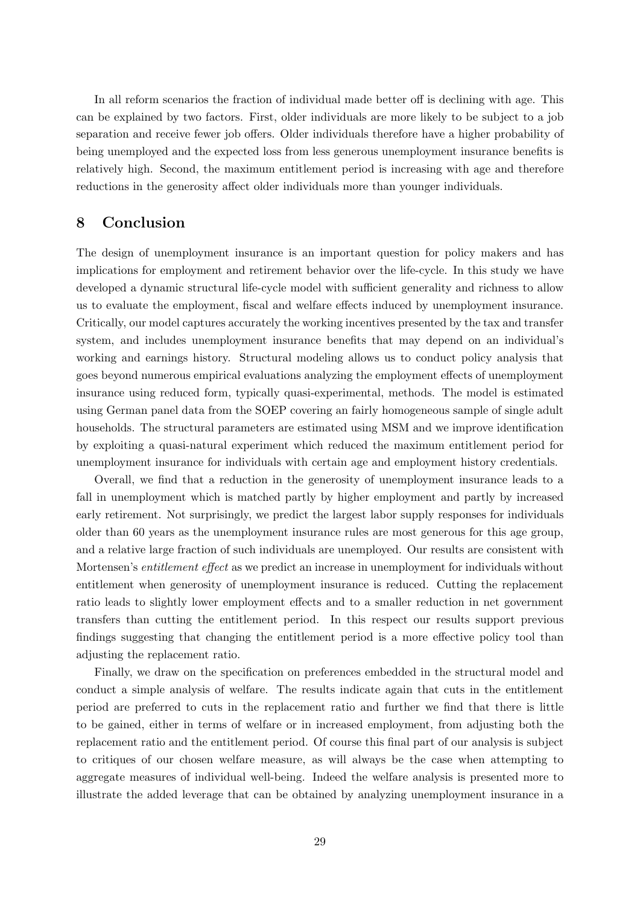In all reform scenarios the fraction of individual made better off is declining with age. This can be explained by two factors. First, older individuals are more likely to be subject to a job separation and receive fewer job offers. Older individuals therefore have a higher probability of being unemployed and the expected loss from less generous unemployment insurance benefits is relatively high. Second, the maximum entitlement period is increasing with age and therefore reductions in the generosity affect older individuals more than younger individuals.

# **8 Conclusion**

The design of unemployment insurance is an important question for policy makers and has implications for employment and retirement behavior over the life-cycle. In this study we have developed a dynamic structural life-cycle model with sufficient generality and richness to allow us to evaluate the employment, fiscal and welfare effects induced by unemployment insurance. Critically, our model captures accurately the working incentives presented by the tax and transfer system, and includes unemployment insurance benefits that may depend on an individual's working and earnings history. Structural modeling allows us to conduct policy analysis that goes beyond numerous empirical evaluations analyzing the employment effects of unemployment insurance using reduced form, typically quasi-experimental, methods. The model is estimated using German panel data from the SOEP covering an fairly homogeneous sample of single adult households. The structural parameters are estimated using MSM and we improve identification by exploiting a quasi-natural experiment which reduced the maximum entitlement period for unemployment insurance for individuals with certain age and employment history credentials.

Overall, we find that a reduction in the generosity of unemployment insurance leads to a fall in unemployment which is matched partly by higher employment and partly by increased early retirement. Not surprisingly, we predict the largest labor supply responses for individuals older than 60 years as the unemployment insurance rules are most generous for this age group, and a relative large fraction of such individuals are unemployed. Our results are consistent with Mortensen's *entitlement effect* as we predict an increase in unemployment for individuals without entitlement when generosity of unemployment insurance is reduced. Cutting the replacement ratio leads to slightly lower employment effects and to a smaller reduction in net government transfers than cutting the entitlement period. In this respect our results support previous findings suggesting that changing the entitlement period is a more effective policy tool than adjusting the replacement ratio.

Finally, we draw on the specification on preferences embedded in the structural model and conduct a simple analysis of welfare. The results indicate again that cuts in the entitlement period are preferred to cuts in the replacement ratio and further we find that there is little to be gained, either in terms of welfare or in increased employment, from adjusting both the replacement ratio and the entitlement period. Of course this final part of our analysis is subject to critiques of our chosen welfare measure, as will always be the case when attempting to aggregate measures of individual well-being. Indeed the welfare analysis is presented more to illustrate the added leverage that can be obtained by analyzing unemployment insurance in a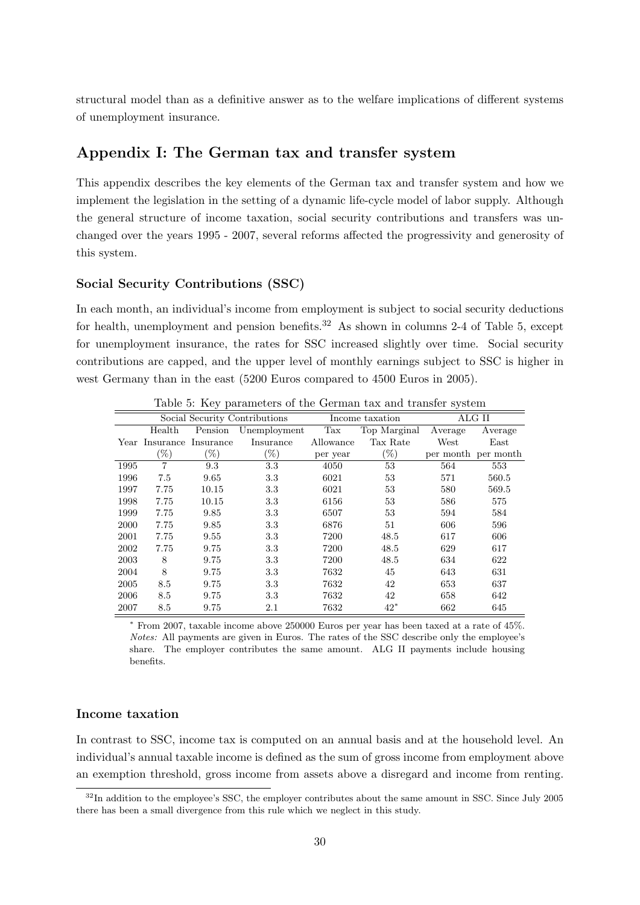structural model than as a definitive answer as to the welfare implications of different systems of unemployment insurance.

# **Appendix I: The German tax and transfer system**

This appendix describes the key elements of the German tax and transfer system and how we implement the legislation in the setting of a dynamic life-cycle model of labor supply. Although the general structure of income taxation, social security contributions and transfers was unchanged over the years 1995 - 2007, several reforms affected the progressivity and generosity of this system.

# **Social Security Contributions (SSC)**

In each month, an individual's income from employment is subject to social security deductions for health, unemployment and pension benefits.<sup>32</sup> As shown in columns 2-4 of Table 5, except for unemployment insurance, the rates for SSC increased slightly over time. Social security contributions are capped, and the upper level of monthly earnings subject to SSC is higher in west Germany than in the east (5200 Euros compared to 4500 Euros in 2005).

|      | of the parameters of the central task and transfer specific |        |                                               |                      |              |         |                     |  |  |  |
|------|-------------------------------------------------------------|--------|-----------------------------------------------|----------------------|--------------|---------|---------------------|--|--|--|
|      |                                                             |        | Social Security Contributions Income taxation |                      |              |         | ALG II              |  |  |  |
|      | Health                                                      |        | Pension Unemployment                          | $\operatorname{Tax}$ | Top Marginal | Average | Average             |  |  |  |
|      | Year Insurance Insurance                                    |        | Insurance                                     | Allowance            | Tax Rate     | West    | East                |  |  |  |
|      | $(\%)$                                                      | $(\%)$ | $(\%)$                                        | per year             | $(\%)$       |         | per month per month |  |  |  |
| 1995 | $\overline{7}$                                              | 9.3    | 3.3                                           | 4050                 | 53           | 564     | 553                 |  |  |  |
| 1996 | 7.5                                                         | 9.65   | 3.3                                           | 6021                 | 53           | 571     | 560.5               |  |  |  |
| 1997 | 7.75                                                        | 10.15  | 3.3                                           | 6021                 | 53           | 580     | 569.5               |  |  |  |
| 1998 | 7.75                                                        | 10.15  | 3.3                                           | 6156                 | 53           | 586     | 575                 |  |  |  |
| 1999 | 7.75                                                        | 9.85   | 3.3                                           | 6507                 | 53           | 594     | 584                 |  |  |  |
| 2000 | 7.75                                                        | 9.85   | 3.3                                           | 6876                 | 51           | 606     | 596                 |  |  |  |
| 2001 | 7.75                                                        | 9.55   | 3.3                                           | 7200                 | 48.5         | 617     | 606                 |  |  |  |
| 2002 | 7.75                                                        | 9.75   | 3.3                                           | 7200                 | 48.5         | 629     | 617                 |  |  |  |
| 2003 | 8                                                           | 9.75   | 3.3                                           | 7200                 | 48.5         | 634     | 622                 |  |  |  |
| 2004 | 8                                                           | 9.75   | 3.3                                           | 7632                 | 45           | 643     | 631                 |  |  |  |
| 2005 | 8.5                                                         | 9.75   | 3.3                                           | 7632                 | 42           | 653     | 637                 |  |  |  |
| 2006 | 8.5                                                         | 9.75   | 3.3                                           | 7632                 | 42           | 658     | 642                 |  |  |  |
| 2007 | 8.5                                                         | 9.75   | $2.1\,$                                       | 7632                 | $42*$        | 662     | 645                 |  |  |  |

Table 5: Key parameters of the German tax and transfer system

*<sup>∗</sup>* From 2007, taxable income above 250000 Euros per year has been taxed at a rate of 45%. *Notes:* All payments are given in Euros. The rates of the SSC describe only the employee's share. The employer contributes the same amount. ALG II payments include housing benefits.

## **Income taxation**

In contrast to SSC, income tax is computed on an annual basis and at the household level. An individual's annual taxable income is defined as the sum of gross income from employment above an exemption threshold, gross income from assets above a disregard and income from renting.

<sup>&</sup>lt;sup>32</sup>In addition to the employee's SSC, the employer contributes about the same amount in SSC. Since July 2005 there has been a small divergence from this rule which we neglect in this study.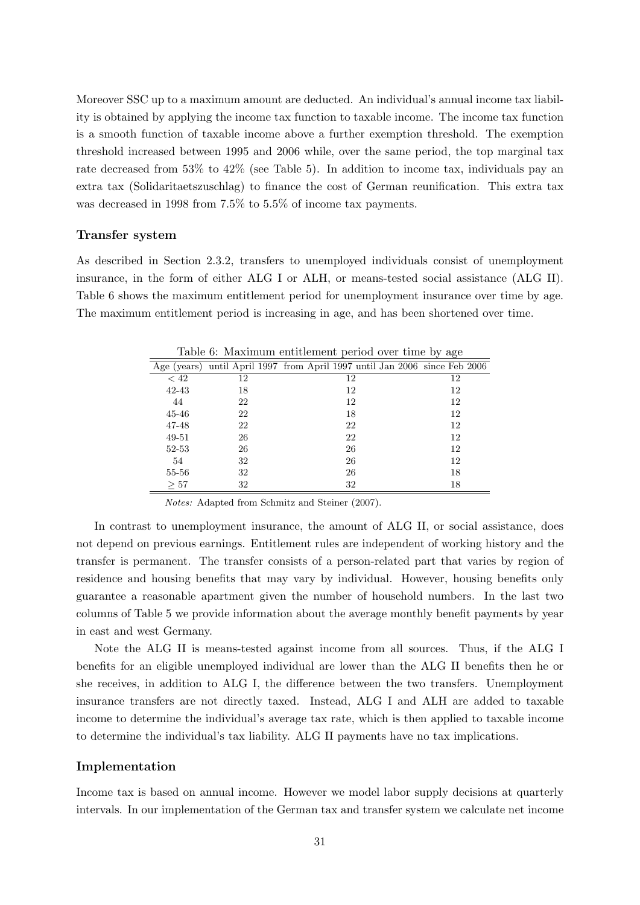Moreover SSC up to a maximum amount are deducted. An individual's annual income tax liability is obtained by applying the income tax function to taxable income. The income tax function is a smooth function of taxable income above a further exemption threshold. The exemption threshold increased between 1995 and 2006 while, over the same period, the top marginal tax rate decreased from 53% to 42% (see Table 5). In addition to income tax, individuals pay an extra tax (Solidaritaetszuschlag) to finance the cost of German reunification. This extra tax was decreased in 1998 from 7.5% to 5.5% of income tax payments.

#### **Transfer system**

As described in Section 2.3.2, transfers to unemployed individuals consist of unemployment insurance, in the form of either ALG I or ALH, or means-tested social assistance (ALG II). Table 6 shows the maximum entitlement period for unemployment insurance over time by age. The maximum entitlement period is increasing in age, and has been shortened over time.

|           |    | Table 0. Maximum entitlement period over time by age                       |    |
|-----------|----|----------------------------------------------------------------------------|----|
|           |    | Age (years) until April 1997 from April 1997 until Jan 2006 since Feb 2006 |    |
| < 42      | 12 | 12                                                                         | 12 |
| $42 - 43$ | 18 | 12                                                                         | 12 |
| 44        | 22 | 12                                                                         | 12 |
| 45-46     | 22 | 18                                                                         | 12 |
| 47-48     | 22 | 22                                                                         | 12 |
| 49-51     | 26 | 22                                                                         | 12 |
| 52-53     | 26 | 26                                                                         | 12 |
| 54        | 32 | 26                                                                         | 12 |
| 55-56     | 32 | 26                                                                         | 18 |
| >57       | 32 | 32                                                                         | 18 |

Table 6: Maximum entitlement period over time by age

*Notes:* Adapted from Schmitz and Steiner (2007).

In contrast to unemployment insurance, the amount of ALG II, or social assistance, does not depend on previous earnings. Entitlement rules are independent of working history and the transfer is permanent. The transfer consists of a person-related part that varies by region of residence and housing benefits that may vary by individual. However, housing benefits only guarantee a reasonable apartment given the number of household numbers. In the last two columns of Table 5 we provide information about the average monthly benefit payments by year in east and west Germany.

Note the ALG II is means-tested against income from all sources. Thus, if the ALG I benefits for an eligible unemployed individual are lower than the ALG II benefits then he or she receives, in addition to ALG I, the difference between the two transfers. Unemployment insurance transfers are not directly taxed. Instead, ALG I and ALH are added to taxable income to determine the individual's average tax rate, which is then applied to taxable income to determine the individual's tax liability. ALG II payments have no tax implications.

#### **Implementation**

Income tax is based on annual income. However we model labor supply decisions at quarterly intervals. In our implementation of the German tax and transfer system we calculate net income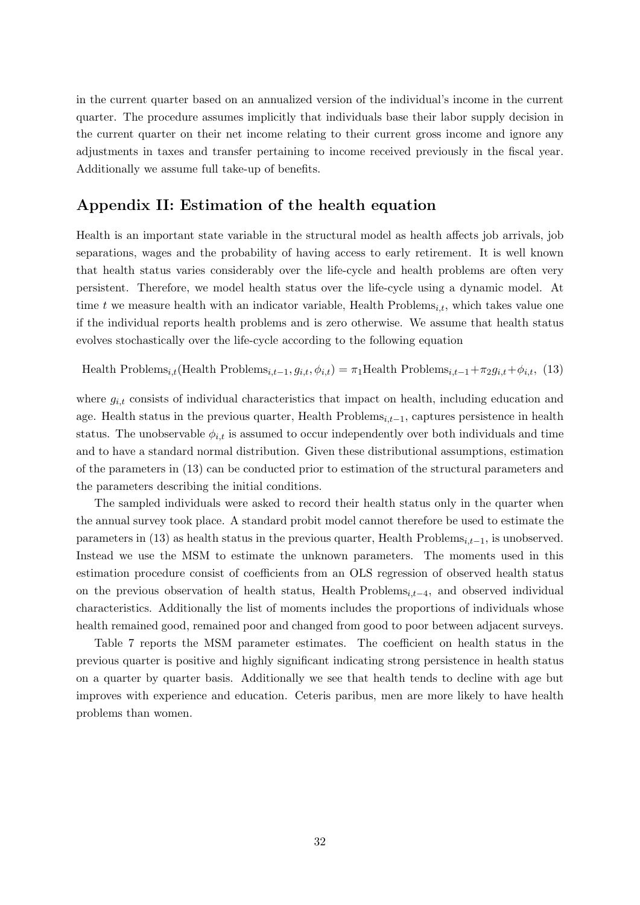in the current quarter based on an annualized version of the individual's income in the current quarter. The procedure assumes implicitly that individuals base their labor supply decision in the current quarter on their net income relating to their current gross income and ignore any adjustments in taxes and transfer pertaining to income received previously in the fiscal year. Additionally we assume full take-up of benefits.

# **Appendix II: Estimation of the health equation**

Health is an important state variable in the structural model as health affects job arrivals, job separations, wages and the probability of having access to early retirement. It is well known that health status varies considerably over the life-cycle and health problems are often very persistent. Therefore, we model health status over the life-cycle using a dynamic model. At time *t* we measure health with an indicator variable, Health Problems*i,t*, which takes value one if the individual reports health problems and is zero otherwise. We assume that health status evolves stochastically over the life-cycle according to the following equation

Health Problems<sub>*i*</sub>,t(Health Problems<sub>*i*,t<sup>*−*</sup>1</sub>*, g*<sub>*i*</sub>,t<sub></sub> $\phi$ <sub>*i*</sub> $i$ ) =  $\pi_1$ Health Problems<sub>*i*,t<sup>*−*1+ $\pi_2 g_{i,t} + \phi_{i,t}$ , (13)</sub></sup>

where  $g_{i,t}$  consists of individual characteristics that impact on health, including education and age. Health status in the previous quarter, Health Problems*i,t−*1, captures persistence in health status. The unobservable  $\phi_{i,t}$  is assumed to occur independently over both individuals and time and to have a standard normal distribution. Given these distributional assumptions, estimation of the parameters in (13) can be conducted prior to estimation of the structural parameters and the parameters describing the initial conditions.

The sampled individuals were asked to record their health status only in the quarter when the annual survey took place. A standard probit model cannot therefore be used to estimate the parameters in (13) as health status in the previous quarter, Health Problems*i,t−*1, is unobserved. Instead we use the MSM to estimate the unknown parameters. The moments used in this estimation procedure consist of coefficients from an OLS regression of observed health status on the previous observation of health status, Health Problems*i,t−*4, and observed individual characteristics. Additionally the list of moments includes the proportions of individuals whose health remained good, remained poor and changed from good to poor between adjacent surveys.

Table 7 reports the MSM parameter estimates. The coefficient on health status in the previous quarter is positive and highly significant indicating strong persistence in health status on a quarter by quarter basis. Additionally we see that health tends to decline with age but improves with experience and education. Ceteris paribus, men are more likely to have health problems than women.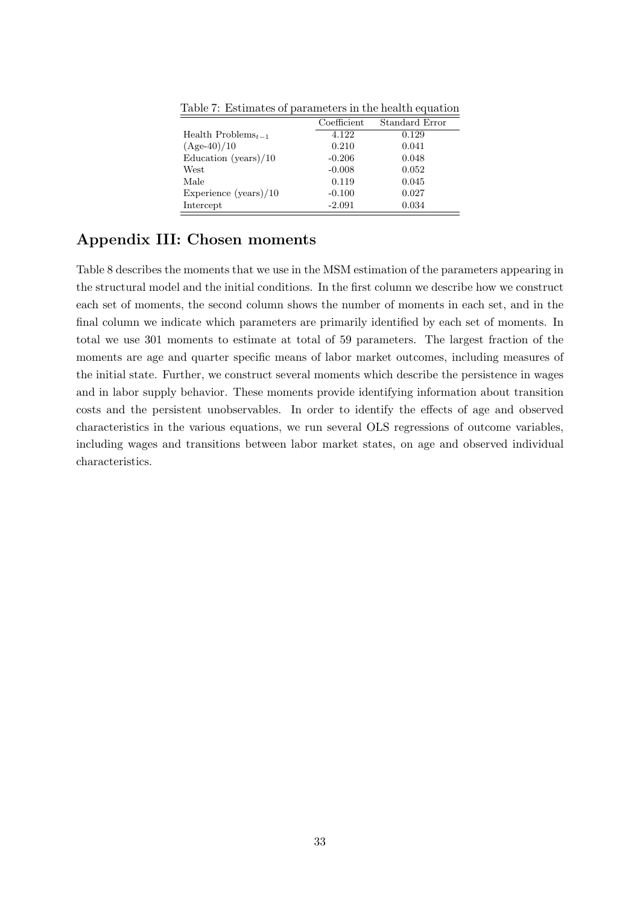|                                | Coefficient | Standard Error |
|--------------------------------|-------------|----------------|
| Health Problems $_{t-1}$       | 4.122       | 0.129          |
| $(Age-40)/10$                  | 0.210       | 0.041          |
| Education (years)/ $10$        | $-0.206$    | 0.048          |
| West                           | $-0.008$    | 0.052          |
| Male                           | 0.119       | 0.045          |
| Experience $(\text{years})/10$ | $-0.100$    | 0.027          |
| Intercept                      | $-2.091$    | 0.034          |
|                                |             |                |

Table 7: Estimates of parameters in the health equation

# **Appendix III: Chosen moments**

Table 8 describes the moments that we use in the MSM estimation of the parameters appearing in the structural model and the initial conditions. In the first column we describe how we construct each set of moments, the second column shows the number of moments in each set, and in the final column we indicate which parameters are primarily identified by each set of moments. In total we use 301 moments to estimate at total of 59 parameters. The largest fraction of the moments are age and quarter specific means of labor market outcomes, including measures of the initial state. Further, we construct several moments which describe the persistence in wages and in labor supply behavior. These moments provide identifying information about transition costs and the persistent unobservables. In order to identify the effects of age and observed characteristics in the various equations, we run several OLS regressions of outcome variables, including wages and transitions between labor market states, on age and observed individual characteristics.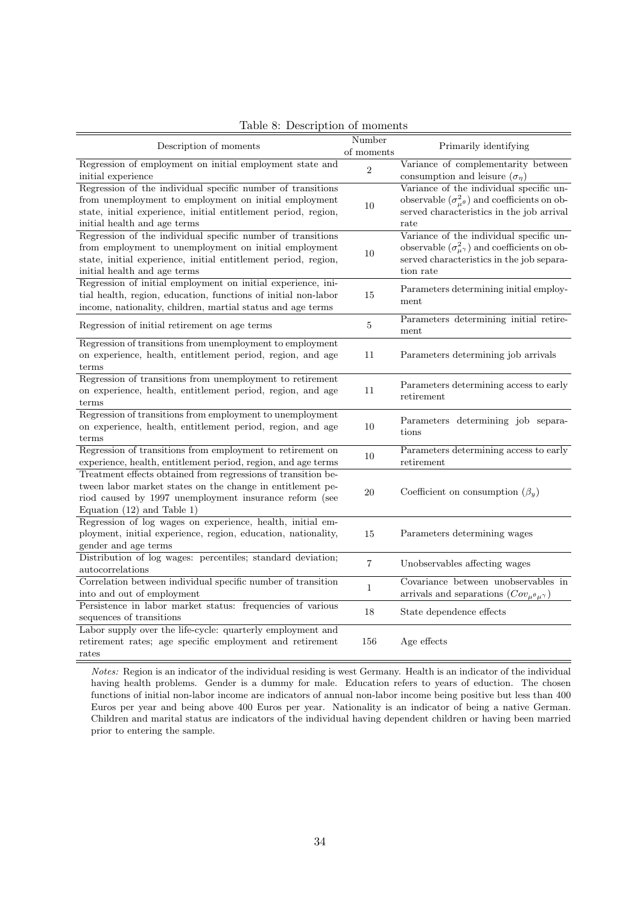| Description of moments                                                                                                                                                                                                | Number<br>of moments | Primarily identifying                                                                                                                               |
|-----------------------------------------------------------------------------------------------------------------------------------------------------------------------------------------------------------------------|----------------------|-----------------------------------------------------------------------------------------------------------------------------------------------------|
| Regression of employment on initial employment state and<br>initial experience                                                                                                                                        | $\overline{2}$       | Variance of complementarity between<br>consumption and leisure $(\sigma_{\eta})$                                                                    |
| Regression of the individual specific number of transitions<br>from unemployment to employment on initial employment<br>state, initial experience, initial entitlement period, region,                                | 10                   | Variance of the individual specific un-<br>observable $(\sigma_{\mu\theta}^2)$ and coefficients on ob-<br>served characteristics in the job arrival |
| initial health and age terms<br>Regression of the individual specific number of transitions                                                                                                                           |                      | rate<br>Variance of the individual specific un-                                                                                                     |
| from employment to unemployment on initial employment<br>state, initial experience, initial entitlement period, region,<br>initial health and age terms                                                               | $10\,$               | observable $(\sigma_{\mu\gamma}^2)$ and coefficients on ob-<br>served characteristics in the job separa-<br>tion rate                               |
| Regression of initial employment on initial experience, ini-<br>tial health, region, education, functions of initial non-labor<br>income, nationality, children, martial status and age terms                         | 15                   | Parameters determining initial employ-<br>ment                                                                                                      |
| Regression of initial retirement on age terms                                                                                                                                                                         | $\bf 5$              | Parameters determining initial retire-<br>ment                                                                                                      |
| Regression of transitions from unemployment to employment<br>on experience, health, entitlement period, region, and age<br>terms                                                                                      | 11                   | Parameters determining job arrivals                                                                                                                 |
| Regression of transitions from unemployment to retirement<br>on experience, health, entitlement period, region, and age<br>terms                                                                                      | 11                   | Parameters determining access to early<br>retirement                                                                                                |
| Regression of transitions from employment to unemployment<br>on experience, health, entitlement period, region, and age<br>terms                                                                                      | 10                   | Parameters determining job separa-<br>tions                                                                                                         |
| Regression of transitions from employment to retirement on<br>experience, health, entitlement period, region, and age terms                                                                                           | $10\,$               | Parameters determining access to early<br>retirement                                                                                                |
| Treatment effects obtained from regressions of transition be-<br>tween labor market states on the change in entitlement pe-<br>riod caused by 1997 unemployment insurance reform (see<br>Equation $(12)$ and Table 1) | 20                   | Coefficient on consumption $(\beta_y)$                                                                                                              |
| Regression of log wages on experience, health, initial em-<br>ployment, initial experience, region, education, nationality,<br>gender and age terms                                                                   | 15                   | Parameters determining wages                                                                                                                        |
| Distribution of log wages: percentiles; standard deviation;<br>autocorrelations                                                                                                                                       | $\overline{7}$       | Unobservables affecting wages                                                                                                                       |
| Correlation between individual specific number of transition<br>into and out of employment                                                                                                                            | $\mathbf{1}$         | Covariance between unobservables in<br>arrivals and separations $(Cov_{\mu^{\theta}\mu^{\gamma}})$                                                  |
| Persistence in labor market status: frequencies of various<br>sequences of transitions                                                                                                                                | 18                   | State dependence effects                                                                                                                            |
| Labor supply over the life-cycle: quarterly employment and<br>retirement rates; age specific employment and retirement<br>rates                                                                                       | 156                  | Age effects                                                                                                                                         |

# Table 8: Description of moments

*Notes:* Region is an indicator of the individual residing is west Germany. Health is an indicator of the individual having health problems. Gender is a dummy for male. Education refers to years of eduction. The chosen functions of initial non-labor income are indicators of annual non-labor income being positive but less than 400 Euros per year and being above 400 Euros per year. Nationality is an indicator of being a native German. Children and marital status are indicators of the individual having dependent children or having been married prior to entering the sample.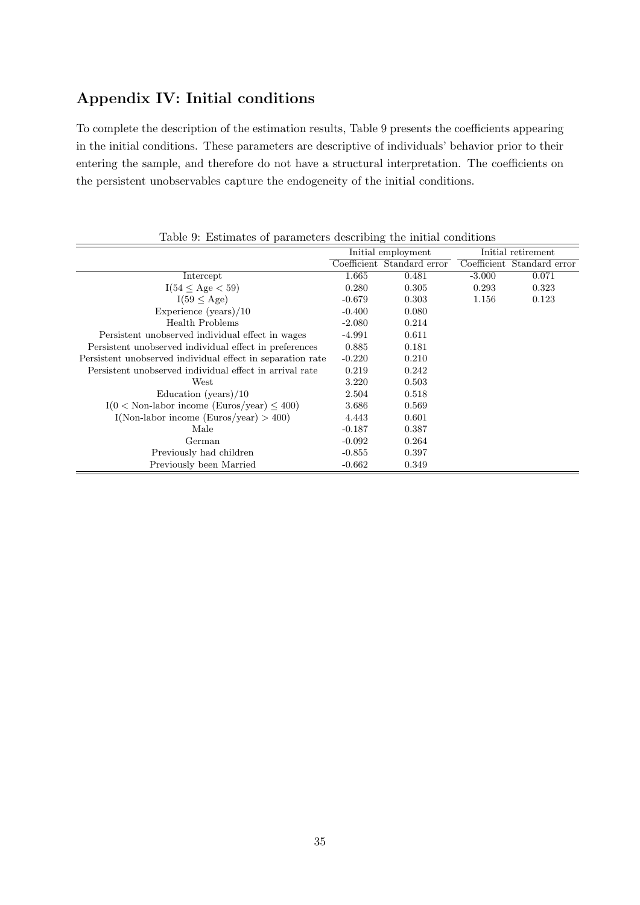# **Appendix IV: Initial conditions**

To complete the description of the estimation results, Table 9 presents the coefficients appearing in the initial conditions. These parameters are descriptive of individuals' behavior prior to their entering the sample, and therefore do not have a structural interpretation. The coefficients on the persistent unobservables capture the endogeneity of the initial conditions.

| Table 9: Estimates of parameters describing the initial conditions |          |                            |          |                            |  |  |  |  |  |  |
|--------------------------------------------------------------------|----------|----------------------------|----------|----------------------------|--|--|--|--|--|--|
|                                                                    |          | Initial employment         |          | Initial retirement         |  |  |  |  |  |  |
|                                                                    |          | Coefficient Standard error |          | Coefficient Standard error |  |  |  |  |  |  |
| Intercept                                                          | 1.665    | 0.481                      | $-3.000$ | 0.071                      |  |  |  |  |  |  |
| $I(54 \leq Age < 59)$                                              | 0.280    | 0.305                      | 0.293    | 0.323                      |  |  |  |  |  |  |
| $I(59 \leq Age)$                                                   | $-0.679$ | 0.303                      | 1.156    | 0.123                      |  |  |  |  |  |  |
| Experience $(\text{years})/10$                                     | $-0.400$ | 0.080                      |          |                            |  |  |  |  |  |  |
| Health Problems                                                    | $-2.080$ | 0.214                      |          |                            |  |  |  |  |  |  |
| Persistent unobserved individual effect in wages                   | $-4.991$ | 0.611                      |          |                            |  |  |  |  |  |  |
| Persistent unobserved individual effect in preferences             | 0.885    | 0.181                      |          |                            |  |  |  |  |  |  |
| Persistent unobserved individual effect in separation rate         | $-0.220$ | 0.210                      |          |                            |  |  |  |  |  |  |
| Persistent unobserved individual effect in arrival rate            | 0.219    | 0.242                      |          |                            |  |  |  |  |  |  |
| West                                                               | 3.220    | 0.503                      |          |                            |  |  |  |  |  |  |
| Education (years) $/10$                                            | 2.504    | 0.518                      |          |                            |  |  |  |  |  |  |
| $I(0 < \text{Non-labor income (Euros/year}) \leq 400)$             | 3.686    | 0.569                      |          |                            |  |  |  |  |  |  |
| I(Non-labor income (Euros/year) $>$ 400)                           | 4.443    | 0.601                      |          |                            |  |  |  |  |  |  |
| Male                                                               | $-0.187$ | 0.387                      |          |                            |  |  |  |  |  |  |
| German                                                             | $-0.092$ | 0.264                      |          |                            |  |  |  |  |  |  |
| Previously had children                                            | $-0.855$ | 0.397                      |          |                            |  |  |  |  |  |  |
| Previously been Married                                            | $-0.662$ | 0.349                      |          |                            |  |  |  |  |  |  |

Table 9: Estimates of parameters describing the initial conditions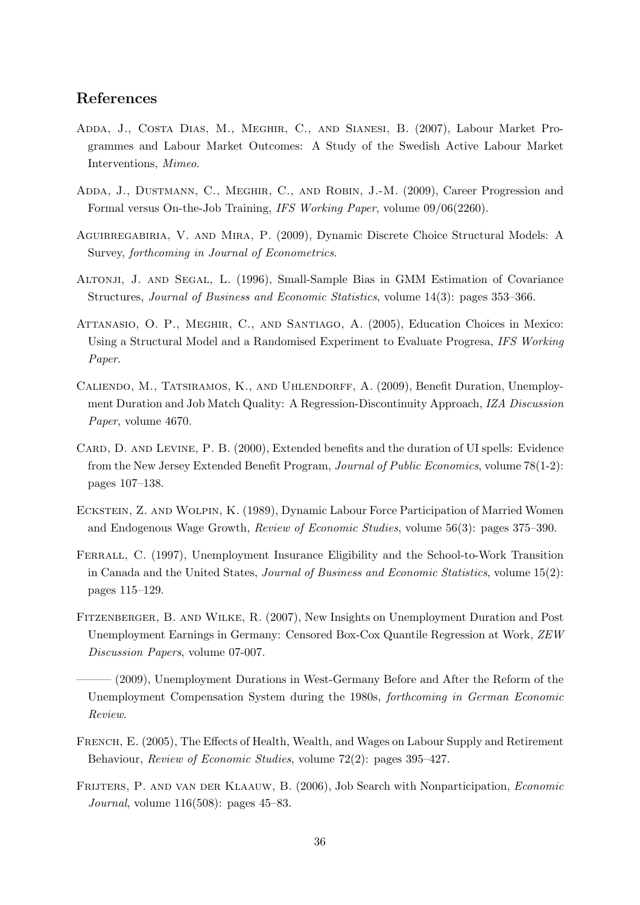# **References**

- Adda, J., Costa Dias, M., Meghir, C., and Sianesi, B. (2007), Labour Market Programmes and Labour Market Outcomes: A Study of the Swedish Active Labour Market Interventions, *Mimeo*.
- ADDA, J., DUSTMANN, C., MEGHIR, C., AND ROBIN, J.-M. (2009), Career Progression and Formal versus On-the-Job Training, *IFS Working Paper*, volume 09/06(2260).
- Aguirregabiria, V. and Mira, P. (2009), Dynamic Discrete Choice Structural Models: A Survey, *forthcoming in Journal of Econometrics*.
- Altonji, J. and Segal, L. (1996), Small-Sample Bias in GMM Estimation of Covariance Structures, *Journal of Business and Economic Statistics*, volume 14(3): pages 353–366.
- Attanasio, O. P., Meghir, C., and Santiago, A. (2005), Education Choices in Mexico: Using a Structural Model and a Randomised Experiment to Evaluate Progresa, *IFS Working Paper*.
- CALIENDO, M., TATSIRAMOS, K., AND UHLENDORFF, A. (2009), Benefit Duration, Unemployment Duration and Job Match Quality: A Regression-Discontinuity Approach, *IZA Discussion Paper*, volume 4670.
- CARD, D. AND LEVINE, P. B. (2000), Extended benefits and the duration of UI spells: Evidence from the New Jersey Extended Benefit Program, *Journal of Public Economics*, volume 78(1-2): pages 107–138.
- Eckstein, Z. and Wolpin, K. (1989), Dynamic Labour Force Participation of Married Women and Endogenous Wage Growth, *Review of Economic Studies*, volume 56(3): pages 375–390.
- FERRALL, C. (1997), Unemployment Insurance Eligibility and the School-to-Work Transition in Canada and the United States, *Journal of Business and Economic Statistics*, volume 15(2): pages 115–129.
- Fitzenberger, B. and Wilke, R. (2007), New Insights on Unemployment Duration and Post Unemployment Earnings in Germany: Censored Box-Cox Quantile Regression at Work, *ZEW Discussion Papers*, volume 07-007.
- (2009), Unemployment Durations in West-Germany Before and After the Reform of the Unemployment Compensation System during the 1980s, *forthcoming in German Economic Review*.
- French, E. (2005), The Effects of Health, Wealth, and Wages on Labour Supply and Retirement Behaviour, *Review of Economic Studies*, volume 72(2): pages 395–427.
- Frijters, P. and van der Klaauw, B. (2006), Job Search with Nonparticipation, *Economic Journal*, volume 116(508): pages 45–83.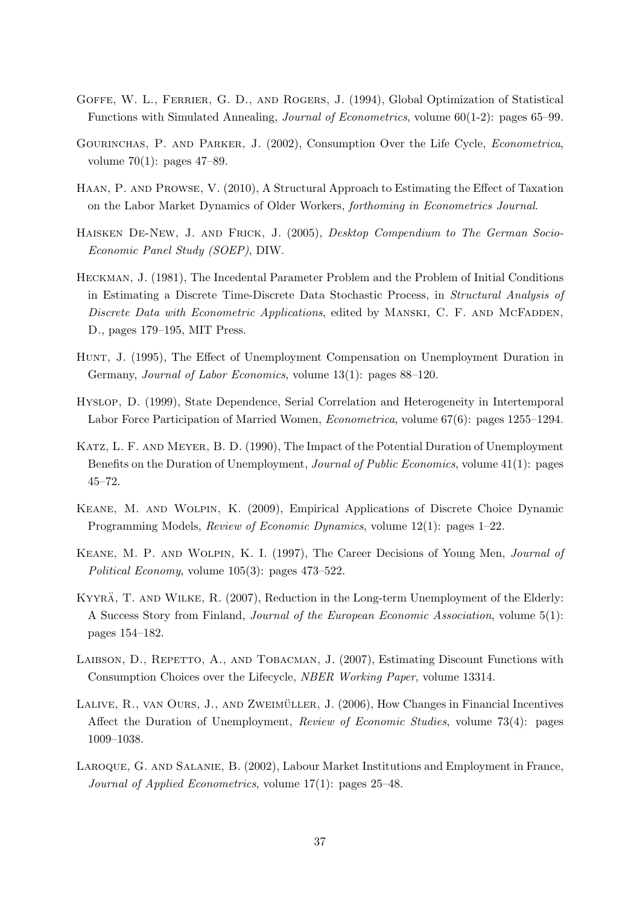- Goffe, W. L., Ferrier, G. D., and Rogers, J. (1994), Global Optimization of Statistical Functions with Simulated Annealing, *Journal of Econometrics*, volume 60(1-2): pages 65–99.
- Gourinchas, P. and Parker, J. (2002), Consumption Over the Life Cycle, *Econometrica*, volume 70(1): pages 47–89.
- Haan, P. and Prowse, V. (2010), A Structural Approach to Estimating the Effect of Taxation on the Labor Market Dynamics of Older Workers, *forthoming in Econometrics Journal*.
- Haisken De-New, J. and Frick, J. (2005), *Desktop Compendium to The German Socio-Economic Panel Study (SOEP)*, DIW.
- Heckman, J. (1981), The Incedental Parameter Problem and the Problem of Initial Conditions in Estimating a Discrete Time-Discrete Data Stochastic Process, in *Structural Analysis of Discrete Data with Econometric Applications*, edited by MANSKI, C. F. AND MCFADDEN, D., pages 179–195, MIT Press.
- Hunt, J. (1995), The Effect of Unemployment Compensation on Unemployment Duration in Germany, *Journal of Labor Economics*, volume 13(1): pages 88–120.
- Hyslop, D. (1999), State Dependence, Serial Correlation and Heterogeneity in Intertemporal Labor Force Participation of Married Women, *Econometrica*, volume 67(6): pages 1255–1294.
- Katz, L. F. and Meyer, B. D. (1990), The Impact of the Potential Duration of Unemployment Benefits on the Duration of Unemployment, *Journal of Public Economics*, volume 41(1): pages 45–72.
- Keane, M. and Wolpin, K. (2009), Empirical Applications of Discrete Choice Dynamic Programming Models, *Review of Economic Dynamics*, volume 12(1): pages 1–22.
- Keane, M. P. and Wolpin, K. I. (1997), The Career Decisions of Young Men, *Journal of Political Economy*, volume 105(3): pages 473–522.
- KYYRÄ, T. AND WILKE, R.  $(2007)$ , Reduction in the Long-term Unemployment of the Elderly: A Success Story from Finland, *Journal of the European Economic Association*, volume 5(1): pages 154–182.
- LAIBSON, D., REPETTO, A., AND TOBACMAN, J. (2007), Estimating Discount Functions with Consumption Choices over the Lifecycle, *NBER Working Paper*, volume 13314.
- LALIVE, R., VAN OURS, J., AND ZWEIMÜLLER, J.  $(2006)$ , How Changes in Financial Incentives Affect the Duration of Unemployment, *Review of Economic Studies*, volume 73(4): pages 1009–1038.
- Laroque, G. and Salanie, B. (2002), Labour Market Institutions and Employment in France, *Journal of Applied Econometrics*, volume 17(1): pages 25–48.